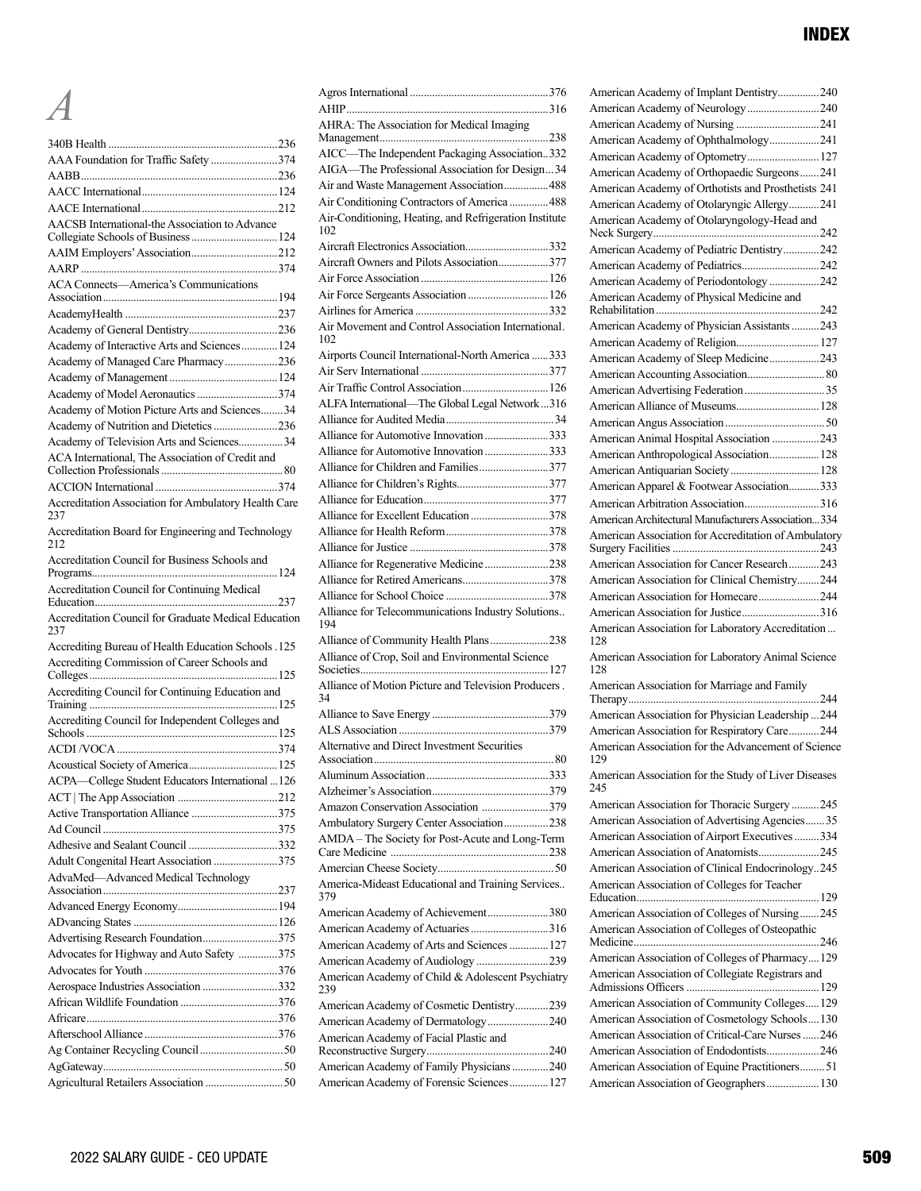# *A*

| AAA Foundation for Traffic Safety 374                       |  |
|-------------------------------------------------------------|--|
|                                                             |  |
|                                                             |  |
|                                                             |  |
| AACSB International-the Association to Advance              |  |
| Collegiate Schools of Business  124                         |  |
| AAIM Employers' Association212                              |  |
|                                                             |  |
| ACA Connects-America's Communications                       |  |
|                                                             |  |
|                                                             |  |
|                                                             |  |
| Academy of Interactive Arts and Sciences 124                |  |
| Academy of Managed Care Pharmacy236                         |  |
|                                                             |  |
| Academy of Model Aeronautics 374                            |  |
| Academy of Motion Picture Arts and Sciences34               |  |
| Academy of Nutrition and Dietetics 236                      |  |
| Academy of Television Arts and Sciences 34                  |  |
| ACA International, The Association of Credit and            |  |
|                                                             |  |
|                                                             |  |
| Accreditation Association for Ambulatory Health Care        |  |
| 237                                                         |  |
| Accreditation Board for Engineering and Technology<br>212   |  |
| Accreditation Council for Business Schools and              |  |
| Accreditation Council for Continuing Medical                |  |
|                                                             |  |
| Accreditation Council for Graduate Medical Education<br>237 |  |
| Accrediting Bureau of Health Education Schools .125         |  |
| Accrediting Commission of Career Schools and                |  |
|                                                             |  |
| Accrediting Council for Continuing Education and            |  |
|                                                             |  |
|                                                             |  |
|                                                             |  |
|                                                             |  |
| Acoustical Society of America 125                           |  |
| ACPA-College Student Educators International 126            |  |
|                                                             |  |
|                                                             |  |
|                                                             |  |
|                                                             |  |
| Adult Congenital Heart Association 375                      |  |
| AdvaMed-Advanced Medical Technology                         |  |
|                                                             |  |
|                                                             |  |
|                                                             |  |
| Advertising Research Foundation375                          |  |
| Advocates for Highway and Auto Safety 375                   |  |
|                                                             |  |
| Aerospace Industries Association 332                        |  |
|                                                             |  |
|                                                             |  |
|                                                             |  |
|                                                             |  |
|                                                             |  |

| AHRA: The Association for Medical Imaging                  |
|------------------------------------------------------------|
|                                                            |
| AICC-The Independent Packaging Association332              |
| AIGA-The Professional Association for Design34             |
| Air and Waste Management Association 488                   |
| Air Conditioning Contractors of America  488               |
| Air-Conditioning, Heating, and Refrigeration Institute     |
| 102                                                        |
| Aircraft Electronics Association332                        |
| Aircraft Owners and Pilots Association377                  |
|                                                            |
| Air Force Sergeants Association  126                       |
|                                                            |
| Air Movement and Control Association International.<br>102 |
|                                                            |
| Airports Council International-North America  333          |
| Air Traffic Control Association 126                        |
|                                                            |
| ALFA International-The Global Legal Network316             |
| Alliance for Automotive Innovation 333                     |
| Alliance for Automotive Innovation 333                     |
|                                                            |
| Alliance for Children and Families377                      |
|                                                            |
|                                                            |
| Alliance for Excellent Education 378                       |
|                                                            |
|                                                            |
| Alliance for Regenerative Medicine 238                     |
|                                                            |
|                                                            |
| Alliance for Telecommunications Industry Solutions<br>194  |
| Alliance of Community Health Plans238                      |
| Alliance of Crop, Soil and Environmental Science           |
|                                                            |
| Alliance of Motion Picture and Television Producers.       |
| 34                                                         |
|                                                            |
|                                                            |
| Alternative and Direct Investment Securities               |
| .80<br>Association                                         |
|                                                            |
|                                                            |
| Amazon Conservation Association 379                        |
| Ambulatory Surgery Center Association238                   |
| AMDA - The Society for Post-Acute and Long-Term            |
|                                                            |
|                                                            |
| America-Mideast Educational and Training Services<br>379   |
| American Academy of Achievement380                         |
| American Academy of Actuaries 316                          |
| American Academy of Arts and Sciences  127                 |
| American Academy of Audiology 239                          |
| American Academy of Child & Adolescent Psychiatry<br>239   |
| American Academy of Cosmetic Dentistry239                  |
| American Academy of Dermatology240                         |
| American Academy of Facial Plastic and                     |
|                                                            |
| American Academy of Family Physicians 240                  |
| American Academy of Forensic Sciences 127                  |
|                                                            |

| American Academy of Implant Dentistry240                                                                                                                                                                                                                   |
|------------------------------------------------------------------------------------------------------------------------------------------------------------------------------------------------------------------------------------------------------------|
| American Academy of Neurology240                                                                                                                                                                                                                           |
|                                                                                                                                                                                                                                                            |
| American Academy of Ophthalmology241                                                                                                                                                                                                                       |
| American Academy of Optometry127                                                                                                                                                                                                                           |
| American Academy of Orthopaedic Surgeons241                                                                                                                                                                                                                |
| American Academy of Orthotists and Prosthetists 241                                                                                                                                                                                                        |
| American Academy of Otolaryngic Allergy241                                                                                                                                                                                                                 |
| American Academy of Otolaryngology-Head and                                                                                                                                                                                                                |
|                                                                                                                                                                                                                                                            |
| American Academy of Pediatric Dentistry242                                                                                                                                                                                                                 |
| American Academy of Pediatrics242                                                                                                                                                                                                                          |
| American Academy of Periodontology242                                                                                                                                                                                                                      |
|                                                                                                                                                                                                                                                            |
| American Academy of Physician Assistants243                                                                                                                                                                                                                |
|                                                                                                                                                                                                                                                            |
| American Academy of Religion 127                                                                                                                                                                                                                           |
| American Academy of Sleep Medicine243                                                                                                                                                                                                                      |
|                                                                                                                                                                                                                                                            |
|                                                                                                                                                                                                                                                            |
| American Alliance of Museums 128                                                                                                                                                                                                                           |
|                                                                                                                                                                                                                                                            |
| American Animal Hospital Association 243                                                                                                                                                                                                                   |
| American Anthropological Association 128                                                                                                                                                                                                                   |
|                                                                                                                                                                                                                                                            |
| American Apparel & Footwear Association333                                                                                                                                                                                                                 |
| American Arbitration Association316                                                                                                                                                                                                                        |
| American Architectural Manufacturers Association 334                                                                                                                                                                                                       |
| American Association for Accreditation of Ambulatory                                                                                                                                                                                                       |
| American Association for Cancer Research243                                                                                                                                                                                                                |
| American Association for Clinical Chemistry244                                                                                                                                                                                                             |
| American Association for Homecare244                                                                                                                                                                                                                       |
|                                                                                                                                                                                                                                                            |
| American Association for Justice316                                                                                                                                                                                                                        |
| American Association for Laboratory Accreditation<br>128                                                                                                                                                                                                   |
| American Association for Laboratory Animal Science<br>128                                                                                                                                                                                                  |
| American Association for Marriage and Family                                                                                                                                                                                                               |
|                                                                                                                                                                                                                                                            |
| American Association for Physician Leadership 244                                                                                                                                                                                                          |
| American Association for Respiratory Care244                                                                                                                                                                                                               |
| American Association for the Advancement of Science                                                                                                                                                                                                        |
| 129<br>American Association for the Study of Liver Diseases<br>245                                                                                                                                                                                         |
|                                                                                                                                                                                                                                                            |
| American Association for Thoracic Surgery245                                                                                                                                                                                                               |
| American Association of Advertising Agencies35                                                                                                                                                                                                             |
| American Association of Airport Executives 334                                                                                                                                                                                                             |
| American Association of Anatomists245                                                                                                                                                                                                                      |
| American Association of Clinical Endocrinology245                                                                                                                                                                                                          |
| American Association of Colleges for Teacher                                                                                                                                                                                                               |
|                                                                                                                                                                                                                                                            |
| American Association of Colleges of Nursing245<br>American Association of Colleges of Osteopathic                                                                                                                                                          |
|                                                                                                                                                                                                                                                            |
|                                                                                                                                                                                                                                                            |
|                                                                                                                                                                                                                                                            |
|                                                                                                                                                                                                                                                            |
|                                                                                                                                                                                                                                                            |
|                                                                                                                                                                                                                                                            |
| American Association of Colleges of Pharmacy129<br>American Association of Collegiate Registrars and<br>American Association of Community Colleges129<br>American Association of Cosmetology Schools130<br>American Association of Critical-Care Nurses246 |
| American Association of Endodontists246                                                                                                                                                                                                                    |
| American Association of Equine Practitioners 51<br>American Association of Geographers 130                                                                                                                                                                 |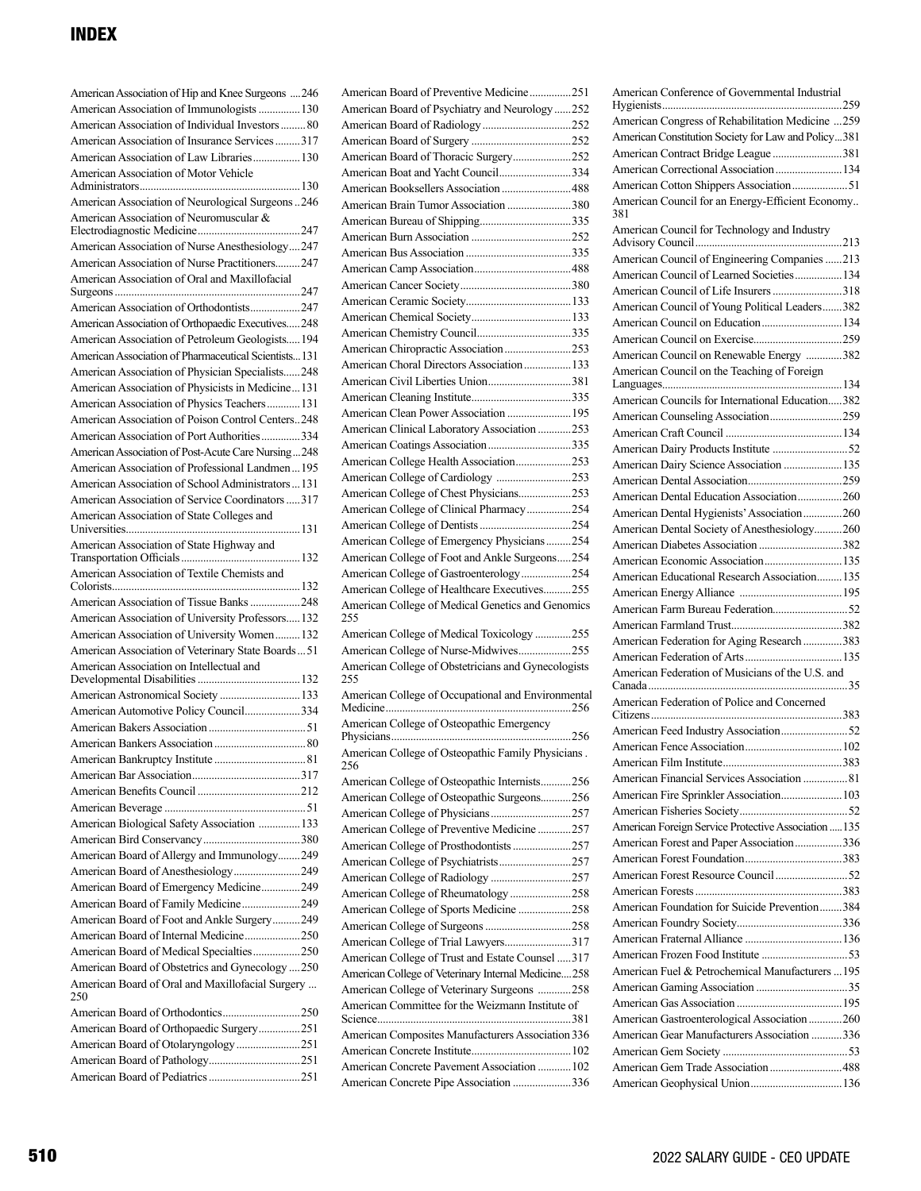| American Association of Hip and Knee Surgeons  246      |
|---------------------------------------------------------|
| American Association of Immunologists  130              |
| American Association of Individual Investors  80        |
| American Association of Insurance Services317           |
| American Association of Law Libraries 130               |
| American Association of Motor Vehicle                   |
|                                                         |
| American Association of Neurological Surgeons246        |
| American Association of Neuromuscular &                 |
| American Association of Nurse Anesthesiology247         |
| American Association of Nurse Practitioners247          |
| American Association of Oral and Maxillofacial          |
|                                                         |
| American Association of Orthodontists247                |
| American Association of Orthopaedic Executives248       |
| American Association of Petroleum Geologists 194        |
| American Association of Pharmaceutical Scientists 131   |
| American Association of Physician Specialists248        |
| American Association of Physicists in Medicine131       |
| American Association of Physics Teachers 131            |
| American Association of Poison Control Centers248       |
| American Association of Port Authorities334             |
| American Association of Post-Acute Care Nursing248      |
| American Association of Professional Landmen195         |
| American Association of School Administrators  131      |
| American Association of Service Coordinators  317       |
| American Association of State Colleges and              |
|                                                         |
| American Association of State Highway and               |
|                                                         |
|                                                         |
| American Association of Textile Chemists and            |
|                                                         |
| American Association of Tissue Banks 248                |
| American Association of University Professors 132       |
| American Association of University Women 132            |
| American Association of Veterinary State Boards51       |
| American Association on Intellectual and                |
|                                                         |
| American Astronomical Society  133                      |
| American Automotive Policy Council334                   |
|                                                         |
|                                                         |
| American Bankruptcy Institute                           |
|                                                         |
|                                                         |
|                                                         |
| American Biological Safety Association  133             |
|                                                         |
| American Board of Allergy and Immunology249             |
| American Board of Anesthesiology249                     |
| American Board of Emergency Medicine249                 |
| American Board of Family Medicine249                    |
| American Board of Foot and Ankle Surgery249             |
| American Board of Internal Medicine250                  |
| American Board of Medical Specialties250                |
| American Board of Obstetrics and Gynecology 250         |
| American Board of Oral and Maxillofacial Surgery<br>250 |
|                                                         |
| American Board of Orthopaedic Surgery251                |
| American Board of Otolaryngology 251                    |
|                                                         |

|     | American Board of Preventive Medicine251                                              |  |
|-----|---------------------------------------------------------------------------------------|--|
|     | American Board of Psychiatry and Neurology 252                                        |  |
|     |                                                                                       |  |
|     |                                                                                       |  |
|     | American Board of Thoracic Surgery252                                                 |  |
|     | American Boat and Yacht Council334                                                    |  |
|     | American Booksellers Association  488                                                 |  |
|     | American Brain Tumor Association 380                                                  |  |
|     |                                                                                       |  |
|     |                                                                                       |  |
|     |                                                                                       |  |
|     |                                                                                       |  |
|     |                                                                                       |  |
|     |                                                                                       |  |
|     |                                                                                       |  |
|     |                                                                                       |  |
|     | American Chiropractic Association 253                                                 |  |
|     | American Choral Directors Association  133                                            |  |
|     | American Civil Liberties Union381                                                     |  |
|     |                                                                                       |  |
|     | American Clean Power Association  195                                                 |  |
|     | American Clinical Laboratory Association 253                                          |  |
|     | American Coatings Association335                                                      |  |
|     | American College Health Association253                                                |  |
|     |                                                                                       |  |
|     | American College of Chest Physicians253                                               |  |
|     | American College of Clinical Pharmacy254                                              |  |
|     |                                                                                       |  |
|     | American College of Emergency Physicians254                                           |  |
|     | American College of Foot and Ankle Surgeons254                                        |  |
|     | American College of Gastroenterology254                                               |  |
|     | American College of Healthcare Executives255                                          |  |
|     |                                                                                       |  |
|     |                                                                                       |  |
| 255 | American College of Medical Genetics and Genomics                                     |  |
|     | American College of Medical Toxicology 255                                            |  |
|     |                                                                                       |  |
|     | American College of Nurse-Midwives255                                                 |  |
| 255 | American College of Obstetricians and Gynecologists                                   |  |
|     | American College of Occupational and Environmental                                    |  |
|     |                                                                                       |  |
|     | American College of Osteopathic Emergency                                             |  |
|     | American College of Osteopathic Family Physicians                                     |  |
| 256 |                                                                                       |  |
|     | American College of Osteopathic Internists256                                         |  |
|     | American College of Osteopathic Surgeons256                                           |  |
|     |                                                                                       |  |
|     | American College of Preventive Medicine 257                                           |  |
|     | American College of Prosthodontists 257                                               |  |
|     | American College of Psychiatrists257                                                  |  |
|     |                                                                                       |  |
|     | American College of Rheumatology258                                                   |  |
|     | American College of Sports Medicine 258                                               |  |
|     |                                                                                       |  |
|     | American College of Trial Lawyers317                                                  |  |
|     | American College of Trust and Estate Counsel 317                                      |  |
|     | American College of Veterinary Internal Medicine258                                   |  |
|     | American College of Veterinary Surgeons 258                                           |  |
|     | American Committee for the Weizmann Institute of                                      |  |
|     |                                                                                       |  |
|     | American Composites Manufacturers Association 336                                     |  |
|     |                                                                                       |  |
|     | American Concrete Pavement Association  102<br>American Concrete Pipe Association 336 |  |

| American Conference of Governmental Industrial          |  |
|---------------------------------------------------------|--|
|                                                         |  |
| American Congress of Rehabilitation Medicine 259        |  |
| American Constitution Society for Law and Policy381     |  |
| American Contract Bridge League 381                     |  |
| American Correctional Association  134                  |  |
| American Cotton Shippers Association51                  |  |
| American Council for an Energy-Efficient Economy<br>381 |  |
| American Council for Technology and Industry            |  |
|                                                         |  |
| American Council of Engineering Companies 213           |  |
| American Council of Learned Societies 134               |  |
| American Council of Life Insurers 318                   |  |
| American Council of Young Political Leaders382          |  |
| American Council on Education 134                       |  |
|                                                         |  |
| American Council on Renewable Energy 382                |  |
| American Council on the Teaching of Foreign             |  |
|                                                         |  |
| American Councils for International Education382        |  |
|                                                         |  |
|                                                         |  |
|                                                         |  |
| American Dairy Science Association  135                 |  |
|                                                         |  |
| American Dental Education Association260                |  |
| American Dental Hygienists' Association260              |  |
| American Dental Society of Anesthesiology260            |  |
| American Diabetes Association 382                       |  |
|                                                         |  |
| American Educational Research Association 135           |  |
|                                                         |  |
|                                                         |  |
|                                                         |  |
| American Federation for Aging Research 383              |  |
|                                                         |  |
| American Federation of Musicians of the U.S. and        |  |
|                                                         |  |
| American Federation of Police and Concerned             |  |
|                                                         |  |
|                                                         |  |
|                                                         |  |
|                                                         |  |
| American Financial Services Association  81             |  |
| American Fire Sprinkler Association 103                 |  |
|                                                         |  |
| American Foreign Service Protective Association  135    |  |
| American Forest and Paper Association336                |  |
|                                                         |  |
|                                                         |  |
|                                                         |  |
| American Foundation for Suicide Prevention384           |  |
|                                                         |  |
|                                                         |  |
|                                                         |  |
| American Fuel & Petrochemical Manufacturers  195        |  |
|                                                         |  |
|                                                         |  |
| American Gastroenterological Association 260            |  |
| American Gear Manufacturers Association 336             |  |
|                                                         |  |
| American Gem Trade Association 488                      |  |
|                                                         |  |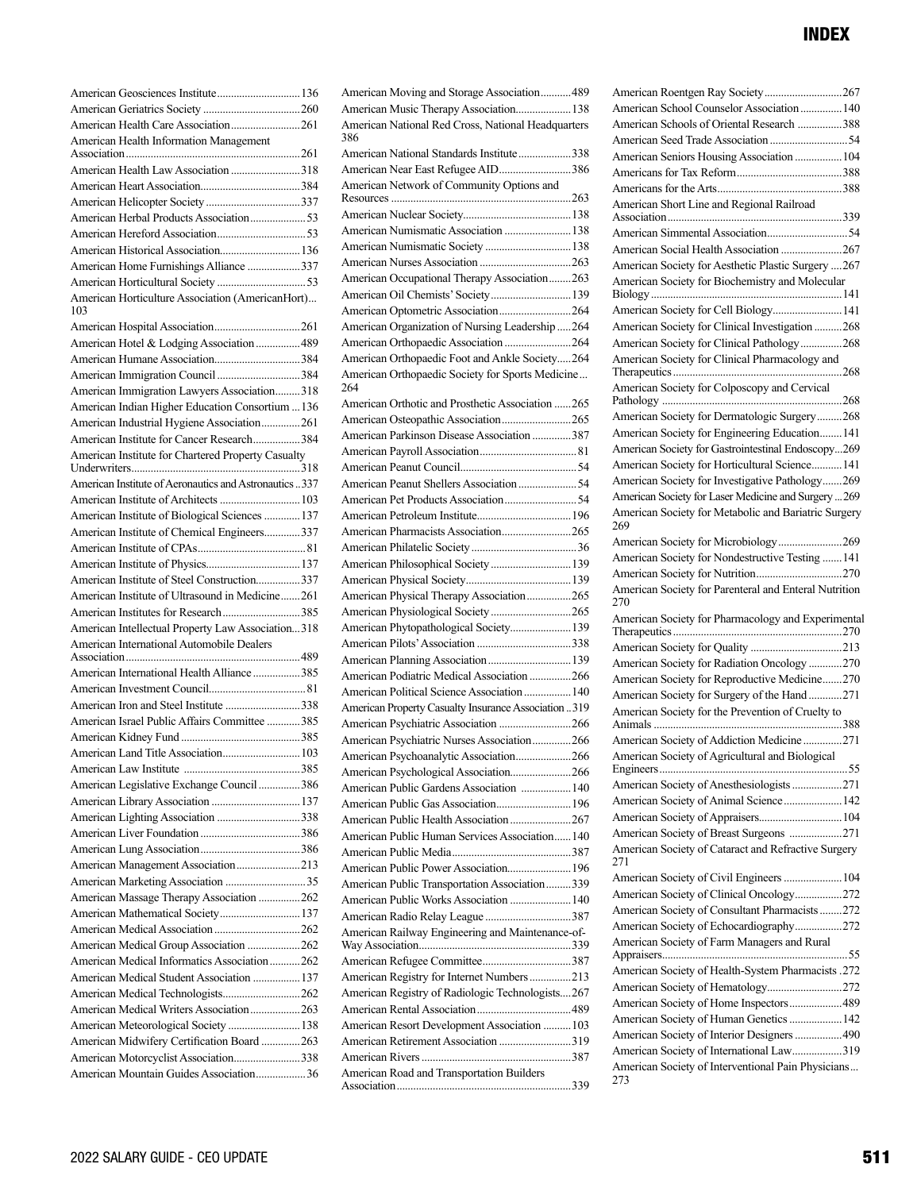| American Health Information Management                 |  |
|--------------------------------------------------------|--|
|                                                        |  |
| American Health Law Association 318                    |  |
|                                                        |  |
|                                                        |  |
| American Herbal Products Association53                 |  |
|                                                        |  |
| American Historical Association 136                    |  |
| American Home Furnishings Alliance 337                 |  |
|                                                        |  |
| American Horticulture Association (AmericanHort)       |  |
| 103                                                    |  |
|                                                        |  |
| American Hotel & Lodging Association 489               |  |
| American Humane Association384                         |  |
| American Immigration Council 384                       |  |
| American Immigration Lawyers Association318            |  |
| American Indian Higher Education Consortium  136       |  |
| American Industrial Hygiene Association261             |  |
| American Institute for Cancer Research384              |  |
| American Institute for Chartered Property Casualty     |  |
|                                                        |  |
| American Institute of Aeronautics and Astronautics 337 |  |
| American Institute of Architects  103                  |  |
| American Institute of Biological Sciences  137         |  |
| American Institute of Chemical Engineers337            |  |
|                                                        |  |
|                                                        |  |
| American Institute of Steel Construction337            |  |
| American Institute of Ultrasound in Medicine261        |  |
| American Institutes for Research385                    |  |
| American Intellectual Property Law Association318      |  |
| American International Automobile Dealers              |  |
|                                                        |  |
| American International Health Alliance 385             |  |
|                                                        |  |
| American Iron and Steel Institute 338                  |  |
| American Israel Public Affairs Committee 385           |  |
|                                                        |  |
|                                                        |  |
|                                                        |  |
| American Legislative Exchange Council 386              |  |
|                                                        |  |
| American Lighting Association 338                      |  |
|                                                        |  |
|                                                        |  |
|                                                        |  |
| American Management Association213                     |  |
|                                                        |  |
| American Massage Therapy Association 262               |  |
| American Mathematical Society 137                      |  |
|                                                        |  |
| American Medical Group Association 262                 |  |
| American Medical Informatics Association262            |  |
| American Medical Student Association  137              |  |
| American Medical Technologists262                      |  |
| American Medical Writers Association263                |  |
| American Meteorological Society  138                   |  |
| American Midwifery Certification Board 263             |  |
| American Motorcyclist Association338                   |  |

| American Moving and Storage Association 489               |  |
|-----------------------------------------------------------|--|
| American Music Therapy Association 138                    |  |
| American National Red Cross, National Headquarters<br>386 |  |
| American National Standards Institute338                  |  |
| American Near East Refugee AID386                         |  |
| American Network of Community Options and                 |  |
|                                                           |  |
|                                                           |  |
| American Numismatic Association  138                      |  |
| American Numismatic Society  138                          |  |
|                                                           |  |
| American Occupational Therapy Association263              |  |
| American Oil Chemists' Society 139                        |  |
|                                                           |  |
| American Organization of Nursing Leadership 264           |  |
|                                                           |  |
| American Orthopaedic Foot and Ankle Society264            |  |
| American Orthopaedic Society for Sports Medicine<br>264   |  |
| American Orthotic and Prosthetic Association 265          |  |
|                                                           |  |
| American Parkinson Disease Association 387                |  |
|                                                           |  |
|                                                           |  |
|                                                           |  |
|                                                           |  |
|                                                           |  |
| American Pharmacists Association265                       |  |
|                                                           |  |
|                                                           |  |
| American Philosophical Society 139                        |  |
|                                                           |  |
| American Physical Therapy Association265                  |  |
|                                                           |  |
| American Phytopathological Society 139                    |  |
|                                                           |  |
|                                                           |  |
| American Podiatric Medical Association  266               |  |
| American Political Science Association  140               |  |
| American Property Casualty Insurance Association 319      |  |
|                                                           |  |
| American Psychiatric Nurses Association266                |  |
| American Psychoanalytic Association266                    |  |
| American Psychological Association266                     |  |
| American Public Gardens Association  140                  |  |
| American Public Gas Association 196                       |  |
| American Public Health Association  267                   |  |
| American Public Human Services Association 140            |  |
|                                                           |  |
|                                                           |  |
| American Public Transportation Association339             |  |
| American Public Works Association  140                    |  |
| American Radio Relay League 387                           |  |
| American Railway Engineering and Maintenance-of-          |  |
|                                                           |  |
|                                                           |  |
| American Registry for Internet Numbers213                 |  |
| American Registry of Radiologic Technologists267          |  |
|                                                           |  |
| American Resort Development Association  103              |  |
| American Retirement Association 319                       |  |
|                                                           |  |
| American Road and Transportation Builders                 |  |
|                                                           |  |

| American Roentgen Ray Society267                                                                                                                                              |
|-------------------------------------------------------------------------------------------------------------------------------------------------------------------------------|
| American School Counselor Association  140                                                                                                                                    |
| American Schools of Oriental Research 388                                                                                                                                     |
|                                                                                                                                                                               |
| American Seniors Housing Association  104                                                                                                                                     |
|                                                                                                                                                                               |
|                                                                                                                                                                               |
| American Short Line and Regional Railroad                                                                                                                                     |
|                                                                                                                                                                               |
| American Social Health Association 267                                                                                                                                        |
| American Society for Aesthetic Plastic Surgery 267                                                                                                                            |
| American Society for Biochemistry and Molecular                                                                                                                               |
| American Society for Cell Biology 141                                                                                                                                         |
| American Society for Clinical Investigation268                                                                                                                                |
| American Society for Clinical Pathology268                                                                                                                                    |
| American Society for Clinical Pharmacology and                                                                                                                                |
|                                                                                                                                                                               |
| American Society for Colposcopy and Cervical                                                                                                                                  |
| American Society for Dermatologic Surgery268                                                                                                                                  |
| American Society for Engineering Education 141                                                                                                                                |
| American Society for Gastrointestinal Endoscopy269                                                                                                                            |
| American Society for Horticultural Science 141                                                                                                                                |
| American Society for Investigative Pathology269                                                                                                                               |
| American Society for Laser Medicine and Surgery  269                                                                                                                          |
| American Society for Metabolic and Bariatric Surgery<br>269                                                                                                                   |
| American Society for Microbiology269                                                                                                                                          |
| American Society for Nondestructive Testing  141                                                                                                                              |
|                                                                                                                                                                               |
|                                                                                                                                                                               |
| American Society for Parenteral and Enteral Nutrition                                                                                                                         |
| 270<br>American Society for Pharmacology and Experimental                                                                                                                     |
|                                                                                                                                                                               |
|                                                                                                                                                                               |
| American Society for Radiation Oncology 270                                                                                                                                   |
| American Society for Reproductive Medicine270                                                                                                                                 |
| American Society for Surgery of the Hand 271<br>American Society for the Prevention of Cruelty to                                                                             |
|                                                                                                                                                                               |
| American Society of Addiction Medicine271                                                                                                                                     |
| American Society of Agricultural and Biological                                                                                                                               |
|                                                                                                                                                                               |
| American Society of Anesthesiologists 271                                                                                                                                     |
| American Society of Animal Science 142                                                                                                                                        |
|                                                                                                                                                                               |
| American Society of Breast Surgeons 271<br>American Society of Cataract and Refractive Surgery<br>271                                                                         |
|                                                                                                                                                                               |
| American Society of Civil Engineers  104                                                                                                                                      |
| American Society of Clinical Oncology272                                                                                                                                      |
| American Society of Consultant Pharmacists 272                                                                                                                                |
| American Society of Echocardiography272                                                                                                                                       |
| American Society of Farm Managers and Rural                                                                                                                                   |
|                                                                                                                                                                               |
|                                                                                                                                                                               |
|                                                                                                                                                                               |
| American Society of Health-System Pharmacists .272<br>American Society of Hematology272<br>American Society of Home Inspectors 489<br>American Society of Human Genetics  142 |
| American Society of Interior Designers  490                                                                                                                                   |
| American Society of International Law319<br>American Society of Interventional Pain Physicians                                                                                |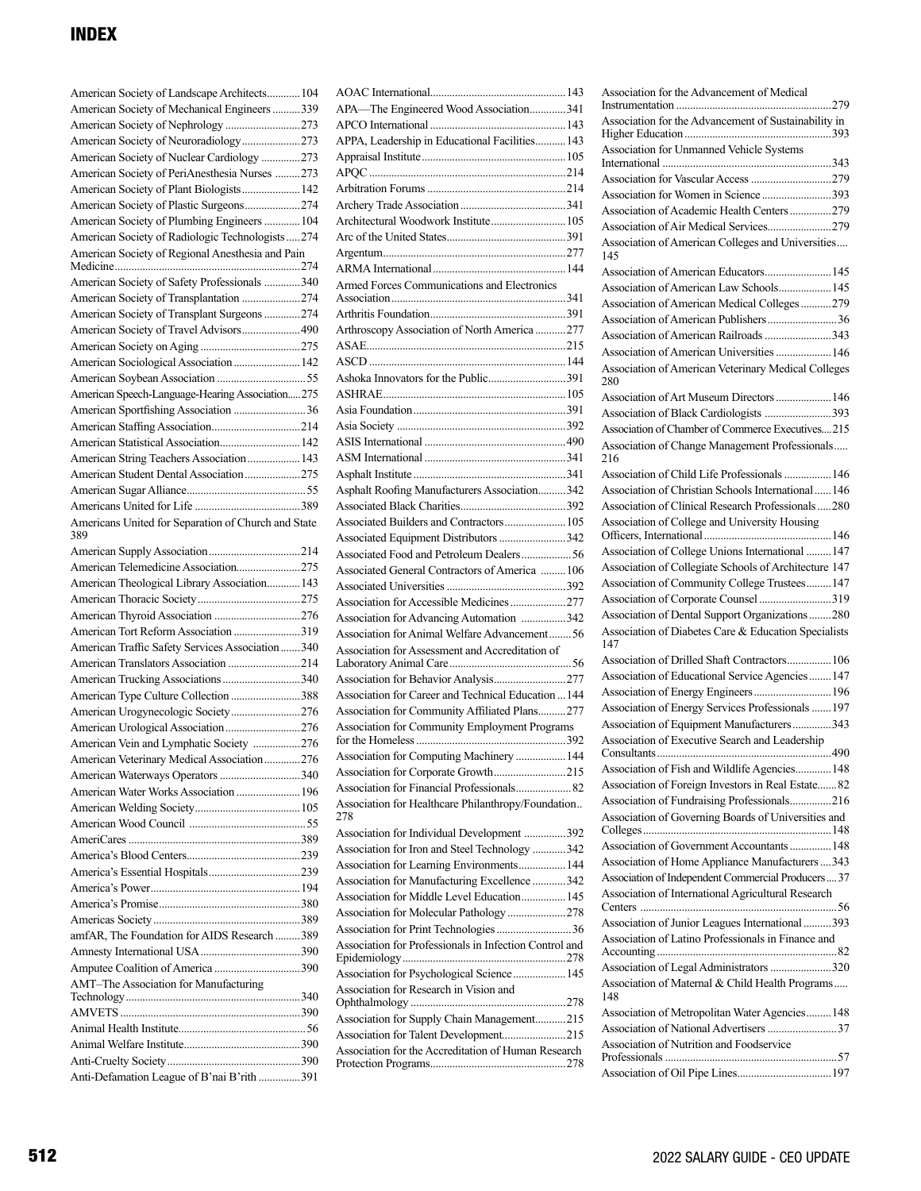| American Society of Landscape Architects 104               |  |
|------------------------------------------------------------|--|
| American Society of Mechanical Engineers 339               |  |
| American Society of Nephrology 273                         |  |
| American Society of Neuroradiology273                      |  |
| American Society of Nuclear Cardiology 273                 |  |
| American Society of PeriAnesthesia Nurses 273              |  |
| American Society of Plant Biologists 142                   |  |
| American Society of Plastic Surgeons274                    |  |
| American Society of Plumbing Engineers  104                |  |
| American Society of Radiologic Technologists 274           |  |
| American Society of Regional Anesthesia and Pain           |  |
|                                                            |  |
| American Society of Safety Professionals 340               |  |
| American Society of Transplantation 274                    |  |
| American Society of Transplant Surgeons 274                |  |
| American Society of Travel Advisors 490                    |  |
|                                                            |  |
| American Sociological Association 142                      |  |
|                                                            |  |
| American Speech-Language-Hearing Association275            |  |
|                                                            |  |
|                                                            |  |
|                                                            |  |
| American Statistical Association 142                       |  |
| American String Teachers Association 143                   |  |
| American Student Dental Association275                     |  |
|                                                            |  |
|                                                            |  |
| Americans United for Separation of Church and State<br>389 |  |
|                                                            |  |
| American Telemedicine Association275                       |  |
| American Theological Library Association 143               |  |
|                                                            |  |
|                                                            |  |
| American Tort Reform Association 319                       |  |
| American Traffic Safety Services Association  340          |  |
| American Translators Association 214                       |  |
| American Trucking Associations 340                         |  |
| American Type Culture Collection 388                       |  |
| American Urogynecologic Society276                         |  |
| American Urological Association 276                        |  |
| American Vein and Lymphatic Society 276                    |  |
| American Veterinary Medical Association276                 |  |
|                                                            |  |
| American Waterways Operators 340                           |  |
| American Water Works Association  196                      |  |
|                                                            |  |
|                                                            |  |
|                                                            |  |
|                                                            |  |
|                                                            |  |
|                                                            |  |
|                                                            |  |
|                                                            |  |
| amfAR, The Foundation for AIDS Research 389                |  |
|                                                            |  |
|                                                            |  |
| AMT-The Association for Manufacturing                      |  |
|                                                            |  |
|                                                            |  |
|                                                            |  |
|                                                            |  |
|                                                            |  |
| Anti-Defamation League of B'nai B'rith 391                 |  |
|                                                            |  |

| APA-The Engineered Wood Association341                    |  |
|-----------------------------------------------------------|--|
|                                                           |  |
| APPA, Leadership in Educational Facilities 143            |  |
|                                                           |  |
|                                                           |  |
|                                                           |  |
| Architectural Woodwork Institute 105                      |  |
|                                                           |  |
|                                                           |  |
|                                                           |  |
| Armed Forces Communications and Electronics               |  |
|                                                           |  |
|                                                           |  |
| Arthroscopy Association of North America 277              |  |
|                                                           |  |
|                                                           |  |
| Ashoka Innovators for the Public391                       |  |
|                                                           |  |
|                                                           |  |
|                                                           |  |
|                                                           |  |
|                                                           |  |
|                                                           |  |
| Asphalt Roofing Manufacturers Association342              |  |
| Associated Builders and Contractors 105                   |  |
| Associated Equipment Distributors 342                     |  |
|                                                           |  |
| Associated General Contractors of America  106            |  |
|                                                           |  |
| Association for Accessible Medicines277                   |  |
| Association for Advancing Automation 342                  |  |
| Association for Animal Welfare Advancement 56             |  |
| Association for Assessment and Accreditation of           |  |
|                                                           |  |
| Association for Behavior Analysis277                      |  |
| Association for Career and Technical Education  144       |  |
| Association for Community Affiliated Plans277             |  |
| Association for Community Employment Programs             |  |
| Association for Computing Machinery  144                  |  |
| Association for Corporate Growth215                       |  |
| Association for Financial Professionals 82                |  |
| Association for Healthcare Philanthropy/Foundation<br>278 |  |
| Association for Individual Development 392                |  |
| Association for Iron and Steel Technology 342             |  |
| Association for Learning Environments 144                 |  |
| Association for Manufacturing Excellence 342              |  |
| Association for Middle Level Education 145                |  |
| Association for Molecular Pathology278                    |  |
|                                                           |  |
| Association for Professionals in Infection Control and    |  |
| Association for Psychological Science 145                 |  |
| Association for Research in Vision and                    |  |
| Association for Supply Chain Management215                |  |
| Association for Talent Development215                     |  |
| Association for the Accreditation of Human Research       |  |
|                                                           |  |

| Association for the Advancement of Medical                  |
|-------------------------------------------------------------|
|                                                             |
| Association for the Advancement of Sustainability in        |
|                                                             |
| Association for Unmanned Vehicle Systems                    |
|                                                             |
|                                                             |
| Association for Women in Science 393                        |
| Association of Academic Health Centers 279                  |
| Association of Air Medical Services279                      |
| Association of American Colleges and Universities<br>145    |
| Association of American Educators 145                       |
| Association of American Law Schools 145                     |
| Association of American Medical Colleges 279                |
| Association of American Publishers36                        |
| Association of American Railroads 343                       |
| Association of American Universities  146                   |
| Association of American Veterinary Medical Colleges<br>280  |
| Association of Art Museum Directors  146                    |
| Association of Black Cardiologists 393                      |
| Association of Chamber of Commerce Executives215            |
| Association of Change Management Professionals<br>216       |
| Association of Child Life Professionals  146                |
| Association of Christian Schools International146           |
| Association of Clinical Research Professionals280           |
| Association of College and University Housing               |
| Association of College Unions International  147            |
| Association of Collegiate Schools of Architecture 147       |
| Association of Community College Trustees 147               |
| Association of Corporate Counsel 319                        |
| Association of Dental Support Organizations280              |
| Association of Diabetes Care & Education Specialists<br>147 |
| Association of Drilled Shaft Contractors 106                |
| Association of Educational Service Agencies  147            |
|                                                             |
| Association of Energy Services Professionals  197           |
| Association of Equipment Manufacturers343                   |
| Association of Executive Search and Leadership              |
| Association of Fish and Wildlife Agencies 148               |
| Association of Foreign Investors in Real Estate 82          |
| Association of Fundraising Professionals216                 |
| Association of Governing Boards of Universities and         |
| Association of Government Accountants  148                  |
| Association of Home Appliance Manufacturers  343            |
| Association of Independent Commercial Producers  37         |
| Association of International Agricultural Research          |
| Association of Junior Leagues International 393             |
| Association of Latino Professionals in Finance and          |
| Association of Legal Administrators 320                     |
| Association of Maternal & Child Health Programs<br>148      |
| Association of Metropolitan Water Agencies 148              |
|                                                             |
| Association of Nutrition and Foodservice                    |
|                                                             |
|                                                             |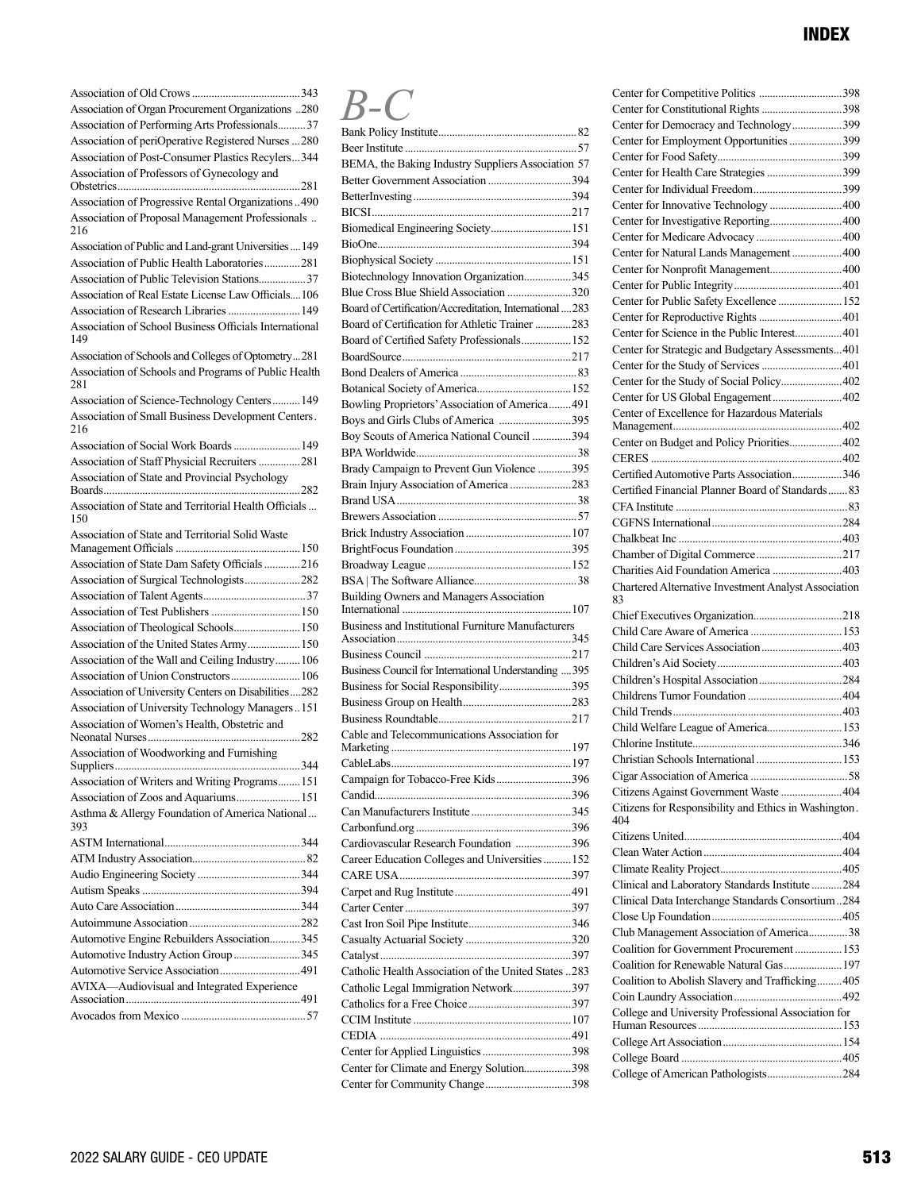| Association of Organ Procurement Organizations 280            |
|---------------------------------------------------------------|
| Association of Performing Arts Professionals 37               |
| Association of periOperative Registered Nurses 280            |
| Association of Post-Consumer Plastics Recylers344             |
| Association of Professors of Gynecology and                   |
|                                                               |
| Association of Progressive Rental Organizations490            |
| Association of Proposal Management Professionals<br>216       |
| Association of Public and Land-grant Universities  149        |
| Association of Public Health Laboratories281                  |
| Association of Public Television Stations37                   |
| Association of Real Estate License Law Officials106           |
| Association of Research Libraries  149                        |
| Association of School Business Officials International<br>149 |
| Association of Schools and Colleges of Optometry281           |
| Association of Schools and Programs of Public Health<br>281   |
| Association of Science-Technology Centers 149                 |
| Association of Small Business Development Centers.<br>216     |
| Association of Social Work Boards 149                         |
| Association of Staff Physicial Recruiters 281                 |
| Association of State and Provincial Psychology                |
| Association of State and Territorial Health Officials<br>150  |
| Association of State and Territorial Solid Waste              |
| Association of State Dam Safety Officials216                  |
| Association of Surgical Technologists282                      |
|                                                               |
| Association of Test Publishers  150                           |
| Association of Theological Schools 150                        |
| Association of the United States Army 150                     |
| Association of the Wall and Ceiling Industry 106              |
|                                                               |
| Association of University Centers on Disabilities282          |
| Association of University Technology Managers151              |
| Association of Women's Health, Obstetric and                  |
| Association of Woodworking and Furnishing                     |
|                                                               |
| Association of Writers and Writing Programs 151               |
| Association of Zoos and Aquariums 151                         |
| Asthma & Allergy Foundation of America National<br>393        |
|                                                               |
|                                                               |
|                                                               |
|                                                               |
|                                                               |
|                                                               |
| Automotive Engine Rebuilders Association345                   |
| Automotive Industry Action Group 345                          |
|                                                               |
| AVIXA-Audiovisual and Integrated Experience                   |
|                                                               |
|                                                               |
|                                                               |

# *B-C*

| BEMA, the Baking Industry Suppliers Association 57       |  |
|----------------------------------------------------------|--|
|                                                          |  |
|                                                          |  |
|                                                          |  |
| Biomedical Engineering Society 151                       |  |
|                                                          |  |
|                                                          |  |
| Biotechnology Innovation Organization345                 |  |
| Blue Cross Blue Shield Association 320                   |  |
| Board of Certification/Accreditation, International  283 |  |
| Board of Certification for Athletic Trainer 283          |  |
| Board of Certified Safety Professionals 152              |  |
|                                                          |  |
|                                                          |  |
|                                                          |  |
| Bowling Proprietors' Association of America 491          |  |
| Boys and Girls Clubs of America 395                      |  |
| Boy Scouts of America National Council  394              |  |
|                                                          |  |
| Brady Campaign to Prevent Gun Violence 395               |  |
| Brain Injury Association of America 283                  |  |
|                                                          |  |
|                                                          |  |
|                                                          |  |
|                                                          |  |
|                                                          |  |
|                                                          |  |
| <b>Building Owners and Managers Association</b>          |  |
| Business and Institutional Furniture Manufacturers       |  |
|                                                          |  |
|                                                          |  |
| Business Council for International Understanding  395    |  |
| Business for Social Responsibility395                    |  |
|                                                          |  |
|                                                          |  |
| Cable and Telecommunications Association for             |  |
|                                                          |  |
|                                                          |  |
| Campaign for Tobacco-Free Kids396                        |  |
| Candid                                                   |  |
|                                                          |  |
|                                                          |  |
| Cardiovascular Research Foundation 396                   |  |
| Career Education Colleges and Universities  152          |  |
|                                                          |  |
|                                                          |  |
|                                                          |  |
|                                                          |  |
|                                                          |  |
|                                                          |  |
| Catholic Health Association of the United States 283     |  |
| Catholic Legal Immigration Network397                    |  |
|                                                          |  |
|                                                          |  |
|                                                          |  |
|                                                          |  |
| Center for Climate and Energy Solution398                |  |
| Center for Community Change398                           |  |
|                                                          |  |

| Center for Constitutional Rights 398                         |  |
|--------------------------------------------------------------|--|
| Center for Democracy and Technology399                       |  |
| Center for Employment Opportunities 399                      |  |
|                                                              |  |
| Center for Health Care Strategies 399                        |  |
|                                                              |  |
| Center for Innovative Technology 400                         |  |
| Center for Investigative Reporting400                        |  |
|                                                              |  |
| Center for Natural Lands Management  400                     |  |
| Center for Nonprofit Management 400                          |  |
|                                                              |  |
| Center for Public Safety Excellence  152                     |  |
|                                                              |  |
| Center for Science in the Public Interest 401                |  |
|                                                              |  |
| Center for Strategic and Budgetary Assessments401            |  |
| Center for the Study of Services 401                         |  |
| Center for the Study of Social Policy402                     |  |
| Center for US Global Engagement402                           |  |
| Center of Excellence for Hazardous Materials                 |  |
| Center on Budget and Policy Priorities402                    |  |
|                                                              |  |
| Certified Automotive Parts Association346                    |  |
|                                                              |  |
| Certified Financial Planner Board of Standards 83            |  |
|                                                              |  |
|                                                              |  |
|                                                              |  |
|                                                              |  |
| Charities Aid Foundation America 403                         |  |
| Chartered Alternative Investment Analyst Association         |  |
| 83                                                           |  |
|                                                              |  |
|                                                              |  |
| Child Care Services Association 403                          |  |
|                                                              |  |
|                                                              |  |
|                                                              |  |
|                                                              |  |
| Child Welfare League of America 153                          |  |
|                                                              |  |
| Christian Schools International  153                         |  |
|                                                              |  |
| Citizens Against Government Waste  404                       |  |
| Citizens for Responsibility and Ethics in Washington.<br>404 |  |
|                                                              |  |
|                                                              |  |
|                                                              |  |
| Clinical and Laboratory Standards Institute  284             |  |
| Clinical Data Interchange Standards Consortium284            |  |
|                                                              |  |
| Club Management Association of America 38                    |  |
| Coalition for Government Procurement  153                    |  |
| Coalition for Renewable Natural Gas 197                      |  |
| Coalition to Abolish Slavery and Trafficking 405             |  |
|                                                              |  |
| College and University Professional Association for          |  |
|                                                              |  |
|                                                              |  |
|                                                              |  |
|                                                              |  |
|                                                              |  |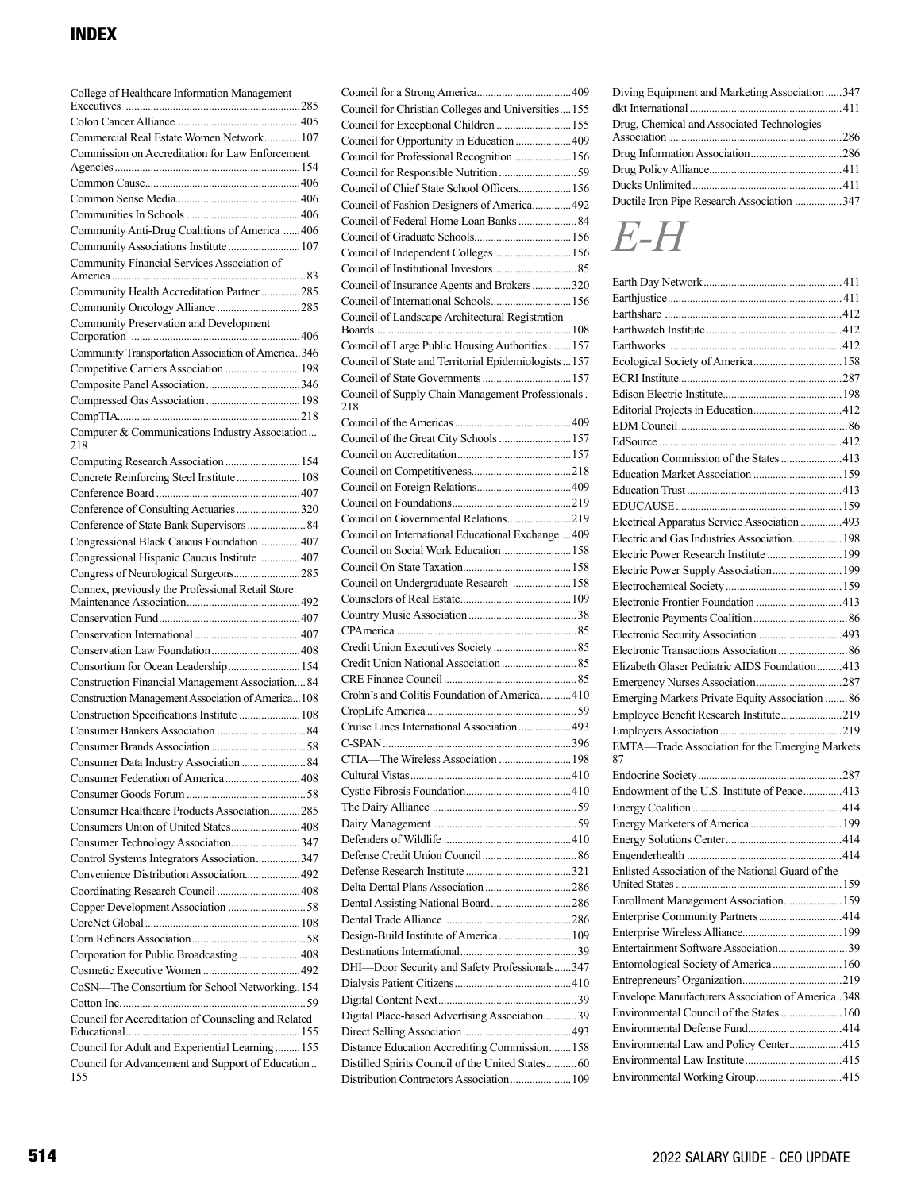| College of Healthcare Information Management                                                    |  |
|-------------------------------------------------------------------------------------------------|--|
|                                                                                                 |  |
| Commercial Real Estate Women Network 107                                                        |  |
| Commission on Accreditation for Law Enforcement                                                 |  |
|                                                                                                 |  |
|                                                                                                 |  |
|                                                                                                 |  |
| Community Anti-Drug Coalitions of America  406                                                  |  |
| Community Associations Institute  107                                                           |  |
| Community Financial Services Association of                                                     |  |
|                                                                                                 |  |
| Community Health Accreditation Partner 285                                                      |  |
|                                                                                                 |  |
| Community Preservation and Development                                                          |  |
| Community Transportation Association of America346                                              |  |
| Competitive Carriers Association  198                                                           |  |
|                                                                                                 |  |
|                                                                                                 |  |
|                                                                                                 |  |
| Computer & Communications Industry Association<br>218                                           |  |
| Computing Research Association  154                                                             |  |
| Concrete Reinforcing Steel Institute 108                                                        |  |
| Conference of Consulting Actuaries320                                                           |  |
|                                                                                                 |  |
| Congressional Black Caucus Foundation 407                                                       |  |
| Congressional Hispanic Caucus Institute  407                                                    |  |
| Congress of Neurological Surgeons285                                                            |  |
| Connex, previously the Professional Retail Store                                                |  |
|                                                                                                 |  |
|                                                                                                 |  |
|                                                                                                 |  |
| Consortium for Ocean Leadership 154                                                             |  |
| Construction Financial Management Association 84                                                |  |
| Construction Management Association of America108<br>Construction Specifications Institute  108 |  |
|                                                                                                 |  |
|                                                                                                 |  |
|                                                                                                 |  |
| Consumer Federation of America  408                                                             |  |
|                                                                                                 |  |
| Consumer Healthcare Products Association285                                                     |  |
| Consumers Union of United States408                                                             |  |
| Consumer Technology Association347                                                              |  |
| Control Systems Integrators Association347                                                      |  |
| Convenience Distribution Association 492                                                        |  |
|                                                                                                 |  |
|                                                                                                 |  |
|                                                                                                 |  |
| Corporation for Public Broadcasting408                                                          |  |
|                                                                                                 |  |
| CoSN-The Consortium for School Networking154                                                    |  |
|                                                                                                 |  |
| Council for Accreditation of Counseling and Related                                             |  |
| Council for Adult and Experiential Learning 155                                                 |  |
| Council for Advancement and Support of Education<br>155                                         |  |

| Council for Christian Colleges and Universities155<br>Council for Exceptional Children  155<br>Council for Opportunity in Education  409<br>Council for Professional Recognition 156<br>Council of Chief State School Officers 156<br>Council of Fashion Designers of America 492<br>Council of Independent Colleges 156<br>Council of Insurance Agents and Brokers320<br>Council of International Schools 156<br>Council of Landscape Architectural Registration<br>Council of Large Public Housing Authorities  157<br>Council of State and Territorial Epidemiologists  157<br>Council of Supply Chain Management Professionals.<br>218<br>Council of the Great City Schools  157<br>Council on International Educational Exchange  409 |
|--------------------------------------------------------------------------------------------------------------------------------------------------------------------------------------------------------------------------------------------------------------------------------------------------------------------------------------------------------------------------------------------------------------------------------------------------------------------------------------------------------------------------------------------------------------------------------------------------------------------------------------------------------------------------------------------------------------------------------------------|
|                                                                                                                                                                                                                                                                                                                                                                                                                                                                                                                                                                                                                                                                                                                                            |
|                                                                                                                                                                                                                                                                                                                                                                                                                                                                                                                                                                                                                                                                                                                                            |
|                                                                                                                                                                                                                                                                                                                                                                                                                                                                                                                                                                                                                                                                                                                                            |
|                                                                                                                                                                                                                                                                                                                                                                                                                                                                                                                                                                                                                                                                                                                                            |
|                                                                                                                                                                                                                                                                                                                                                                                                                                                                                                                                                                                                                                                                                                                                            |
|                                                                                                                                                                                                                                                                                                                                                                                                                                                                                                                                                                                                                                                                                                                                            |
|                                                                                                                                                                                                                                                                                                                                                                                                                                                                                                                                                                                                                                                                                                                                            |
|                                                                                                                                                                                                                                                                                                                                                                                                                                                                                                                                                                                                                                                                                                                                            |
|                                                                                                                                                                                                                                                                                                                                                                                                                                                                                                                                                                                                                                                                                                                                            |
|                                                                                                                                                                                                                                                                                                                                                                                                                                                                                                                                                                                                                                                                                                                                            |
|                                                                                                                                                                                                                                                                                                                                                                                                                                                                                                                                                                                                                                                                                                                                            |
|                                                                                                                                                                                                                                                                                                                                                                                                                                                                                                                                                                                                                                                                                                                                            |
|                                                                                                                                                                                                                                                                                                                                                                                                                                                                                                                                                                                                                                                                                                                                            |
|                                                                                                                                                                                                                                                                                                                                                                                                                                                                                                                                                                                                                                                                                                                                            |
|                                                                                                                                                                                                                                                                                                                                                                                                                                                                                                                                                                                                                                                                                                                                            |
|                                                                                                                                                                                                                                                                                                                                                                                                                                                                                                                                                                                                                                                                                                                                            |
|                                                                                                                                                                                                                                                                                                                                                                                                                                                                                                                                                                                                                                                                                                                                            |
|                                                                                                                                                                                                                                                                                                                                                                                                                                                                                                                                                                                                                                                                                                                                            |
|                                                                                                                                                                                                                                                                                                                                                                                                                                                                                                                                                                                                                                                                                                                                            |
|                                                                                                                                                                                                                                                                                                                                                                                                                                                                                                                                                                                                                                                                                                                                            |
|                                                                                                                                                                                                                                                                                                                                                                                                                                                                                                                                                                                                                                                                                                                                            |
|                                                                                                                                                                                                                                                                                                                                                                                                                                                                                                                                                                                                                                                                                                                                            |
|                                                                                                                                                                                                                                                                                                                                                                                                                                                                                                                                                                                                                                                                                                                                            |
|                                                                                                                                                                                                                                                                                                                                                                                                                                                                                                                                                                                                                                                                                                                                            |
|                                                                                                                                                                                                                                                                                                                                                                                                                                                                                                                                                                                                                                                                                                                                            |
|                                                                                                                                                                                                                                                                                                                                                                                                                                                                                                                                                                                                                                                                                                                                            |
|                                                                                                                                                                                                                                                                                                                                                                                                                                                                                                                                                                                                                                                                                                                                            |
|                                                                                                                                                                                                                                                                                                                                                                                                                                                                                                                                                                                                                                                                                                                                            |
|                                                                                                                                                                                                                                                                                                                                                                                                                                                                                                                                                                                                                                                                                                                                            |
| Council on Social Work Education 158                                                                                                                                                                                                                                                                                                                                                                                                                                                                                                                                                                                                                                                                                                       |
|                                                                                                                                                                                                                                                                                                                                                                                                                                                                                                                                                                                                                                                                                                                                            |
| Council on Undergraduate Research  158                                                                                                                                                                                                                                                                                                                                                                                                                                                                                                                                                                                                                                                                                                     |
|                                                                                                                                                                                                                                                                                                                                                                                                                                                                                                                                                                                                                                                                                                                                            |
|                                                                                                                                                                                                                                                                                                                                                                                                                                                                                                                                                                                                                                                                                                                                            |
|                                                                                                                                                                                                                                                                                                                                                                                                                                                                                                                                                                                                                                                                                                                                            |
|                                                                                                                                                                                                                                                                                                                                                                                                                                                                                                                                                                                                                                                                                                                                            |
|                                                                                                                                                                                                                                                                                                                                                                                                                                                                                                                                                                                                                                                                                                                                            |
|                                                                                                                                                                                                                                                                                                                                                                                                                                                                                                                                                                                                                                                                                                                                            |
|                                                                                                                                                                                                                                                                                                                                                                                                                                                                                                                                                                                                                                                                                                                                            |
| Crohn's and Colitis Foundation of America 410                                                                                                                                                                                                                                                                                                                                                                                                                                                                                                                                                                                                                                                                                              |
|                                                                                                                                                                                                                                                                                                                                                                                                                                                                                                                                                                                                                                                                                                                                            |
|                                                                                                                                                                                                                                                                                                                                                                                                                                                                                                                                                                                                                                                                                                                                            |
|                                                                                                                                                                                                                                                                                                                                                                                                                                                                                                                                                                                                                                                                                                                                            |
| CTIA-The Wireless Association  198                                                                                                                                                                                                                                                                                                                                                                                                                                                                                                                                                                                                                                                                                                         |
|                                                                                                                                                                                                                                                                                                                                                                                                                                                                                                                                                                                                                                                                                                                                            |
|                                                                                                                                                                                                                                                                                                                                                                                                                                                                                                                                                                                                                                                                                                                                            |
|                                                                                                                                                                                                                                                                                                                                                                                                                                                                                                                                                                                                                                                                                                                                            |
|                                                                                                                                                                                                                                                                                                                                                                                                                                                                                                                                                                                                                                                                                                                                            |
|                                                                                                                                                                                                                                                                                                                                                                                                                                                                                                                                                                                                                                                                                                                                            |
|                                                                                                                                                                                                                                                                                                                                                                                                                                                                                                                                                                                                                                                                                                                                            |
|                                                                                                                                                                                                                                                                                                                                                                                                                                                                                                                                                                                                                                                                                                                                            |
|                                                                                                                                                                                                                                                                                                                                                                                                                                                                                                                                                                                                                                                                                                                                            |
| Dental Assisting National Board286                                                                                                                                                                                                                                                                                                                                                                                                                                                                                                                                                                                                                                                                                                         |
|                                                                                                                                                                                                                                                                                                                                                                                                                                                                                                                                                                                                                                                                                                                                            |
| Design-Build Institute of America  109                                                                                                                                                                                                                                                                                                                                                                                                                                                                                                                                                                                                                                                                                                     |
|                                                                                                                                                                                                                                                                                                                                                                                                                                                                                                                                                                                                                                                                                                                                            |
| DHI-Door Security and Safety Professionals347                                                                                                                                                                                                                                                                                                                                                                                                                                                                                                                                                                                                                                                                                              |
|                                                                                                                                                                                                                                                                                                                                                                                                                                                                                                                                                                                                                                                                                                                                            |
|                                                                                                                                                                                                                                                                                                                                                                                                                                                                                                                                                                                                                                                                                                                                            |
| Digital Place-based Advertising Association39                                                                                                                                                                                                                                                                                                                                                                                                                                                                                                                                                                                                                                                                                              |
|                                                                                                                                                                                                                                                                                                                                                                                                                                                                                                                                                                                                                                                                                                                                            |
| Distance Education Accrediting Commission 158                                                                                                                                                                                                                                                                                                                                                                                                                                                                                                                                                                                                                                                                                              |
| Distilled Spirits Council of the United States 60<br>Distribution Contractors Association 109                                                                                                                                                                                                                                                                                                                                                                                                                                                                                                                                                                                                                                              |

| Diving Equipment and Marketing Association347 |  |
|-----------------------------------------------|--|
|                                               |  |
| Drug, Chemical and Associated Technologies    |  |
|                                               |  |
|                                               |  |
|                                               |  |
| Ductile Iron Pipe Research Association 347    |  |

# *E-H*

| Ecological Society of America 158                     |  |
|-------------------------------------------------------|--|
|                                                       |  |
|                                                       |  |
|                                                       |  |
|                                                       |  |
|                                                       |  |
| Education Commission of the States 413                |  |
|                                                       |  |
|                                                       |  |
|                                                       |  |
| Electrical Apparatus Service Association  493         |  |
| Electric and Gas Industries Association 198           |  |
| Electric Power Research Institute  199                |  |
| Electric Power Supply Association 199                 |  |
|                                                       |  |
|                                                       |  |
|                                                       |  |
|                                                       |  |
|                                                       |  |
| Elizabeth Glaser Pediatric AIDS Foundation413         |  |
|                                                       |  |
| Emerging Markets Private Equity Association  86       |  |
| Employee Benefit Research Institute219                |  |
|                                                       |  |
| EMTA-Trade Association for the Emerging Markets<br>87 |  |
|                                                       |  |
| Endowment of the U.S. Institute of Peace413           |  |
|                                                       |  |
|                                                       |  |
|                                                       |  |
|                                                       |  |
| Enlisted Association of the National Guard of the     |  |
|                                                       |  |
| Enrollment Management Association159                  |  |
|                                                       |  |
|                                                       |  |
|                                                       |  |
| Entomological Society of America  160                 |  |
|                                                       |  |
| Envelope Manufacturers Association of America348      |  |
| Environmental Council of the States  160              |  |
|                                                       |  |
| Environmental Law and Policy Center415                |  |
|                                                       |  |
| Environmental Working Group415                        |  |
|                                                       |  |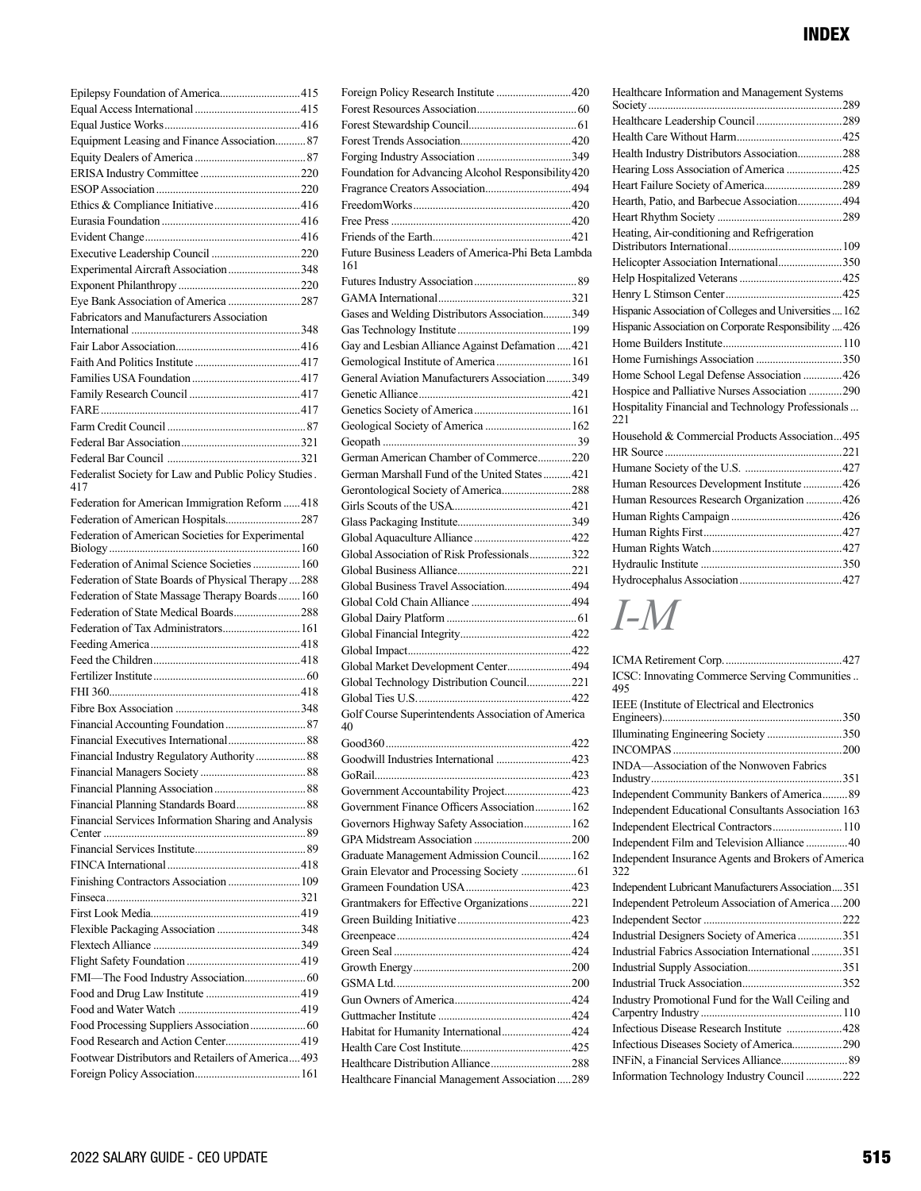| Epilepsy Foundation of America415                            |  |
|--------------------------------------------------------------|--|
|                                                              |  |
|                                                              |  |
| Equipment Leasing and Finance Association 87                 |  |
|                                                              |  |
|                                                              |  |
|                                                              |  |
|                                                              |  |
|                                                              |  |
|                                                              |  |
|                                                              |  |
| Experimental Aircraft Association348                         |  |
|                                                              |  |
|                                                              |  |
| Fabricators and Manufacturers Association                    |  |
|                                                              |  |
|                                                              |  |
|                                                              |  |
|                                                              |  |
|                                                              |  |
|                                                              |  |
|                                                              |  |
|                                                              |  |
|                                                              |  |
| Federalist Society for Law and Public Policy Studies.<br>417 |  |
| Federation for American Immigration Reform  418              |  |
| Federation of American Hospitals287                          |  |
| Federation of American Societies for Experimental            |  |
|                                                              |  |
| Federation of Animal Science Societies  160                  |  |
| Federation of State Boards of Physical Therapy288            |  |
| Federation of State Massage Therapy Boards 160               |  |
| Federation of State Medical Boards288                        |  |
| Federation of Tax Administrators 161                         |  |
|                                                              |  |
|                                                              |  |
|                                                              |  |
|                                                              |  |
|                                                              |  |
|                                                              |  |
|                                                              |  |
| Financial Industry Regulatory Authority 88                   |  |
|                                                              |  |
|                                                              |  |
|                                                              |  |
| Financial Services Information Sharing and Analysis          |  |
|                                                              |  |
|                                                              |  |
|                                                              |  |
| Finishing Contractors Association  109                       |  |
|                                                              |  |
|                                                              |  |
| Flexible Packaging Association 348                           |  |
|                                                              |  |
|                                                              |  |
|                                                              |  |
|                                                              |  |
|                                                              |  |
|                                                              |  |
| Food Research and Action Center419                           |  |
| Footwear Distributors and Retailers of America493            |  |
|                                                              |  |

| Foundation for Advancing Alcohol Responsibility 420 |  |
|-----------------------------------------------------|--|
|                                                     |  |
|                                                     |  |
|                                                     |  |
|                                                     |  |
|                                                     |  |
| Future Business Leaders of America-Phi Beta Lambda  |  |
| 161                                                 |  |
|                                                     |  |
|                                                     |  |
|                                                     |  |
| Gases and Welding Distributors Association349       |  |
|                                                     |  |
| Gay and Lesbian Alliance Against Defamation  421    |  |
| Gemological Institute of America  161               |  |
| General Aviation Manufacturers Association 349      |  |
|                                                     |  |
|                                                     |  |
|                                                     |  |
| Geological Society of America  162                  |  |
|                                                     |  |
| German American Chamber of Commerce220              |  |
|                                                     |  |
| German Marshall Fund of the United States421        |  |
|                                                     |  |
|                                                     |  |
|                                                     |  |
|                                                     |  |
|                                                     |  |
| Global Association of Risk Professionals322         |  |
|                                                     |  |
| Global Business Travel Association494               |  |
|                                                     |  |
|                                                     |  |
|                                                     |  |
|                                                     |  |
|                                                     |  |
| Global Market Development Center 494                |  |
| Global Technology Distribution Council221           |  |
|                                                     |  |
|                                                     |  |
| Golf Course Superintendents Association of America  |  |
| 40                                                  |  |
|                                                     |  |
|                                                     |  |
|                                                     |  |
|                                                     |  |
|                                                     |  |
| Government Accountability Project 423               |  |
| Government Finance Officers Association 162         |  |
| Governors Highway Safety Association 162            |  |
|                                                     |  |
|                                                     |  |
| Graduate Management Admission Council 162           |  |
|                                                     |  |
|                                                     |  |
|                                                     |  |
| Grantmakers for Effective Organizations221          |  |
|                                                     |  |
|                                                     |  |
|                                                     |  |
|                                                     |  |
|                                                     |  |
|                                                     |  |
|                                                     |  |
|                                                     |  |
| Habitat for Humanity International 424              |  |
|                                                     |  |
|                                                     |  |

| Healthcare Information and Management Systems             |  |
|-----------------------------------------------------------|--|
|                                                           |  |
|                                                           |  |
| Health Industry Distributors Association288               |  |
| Hearing Loss Association of America  425                  |  |
|                                                           |  |
| Hearth, Patio, and Barbecue Association 494               |  |
|                                                           |  |
| Heating, Air-conditioning and Refrigeration               |  |
| Helicopter Association International350                   |  |
|                                                           |  |
|                                                           |  |
| Hispanic Association of Colleges and Universities  162    |  |
| Hispanic Association on Corporate Responsibility  426     |  |
|                                                           |  |
|                                                           |  |
| Home School Legal Defense Association  426                |  |
| Hospice and Palliative Nurses Association 290             |  |
| Hospitality Financial and Technology Professionals<br>221 |  |
| Household & Commercial Products Association495            |  |
|                                                           |  |
|                                                           |  |
| Human Resources Development Institute426                  |  |
| Human Resources Research Organization  426                |  |
|                                                           |  |
|                                                           |  |
|                                                           |  |
|                                                           |  |
|                                                           |  |

# *I-M*

| ICSC: Innovating Commerce Serving Communities<br>495       |
|------------------------------------------------------------|
| <b>IEEE</b> (Institute of Electrical and Electronics       |
|                                                            |
| Illuminating Engineering Society 350                       |
|                                                            |
| INDA-Association of the Nonwoven Fabrics                   |
|                                                            |
| Independent Community Bankers of America 89                |
| Independent Educational Consultants Association 163        |
| Independent Electrical Contractors 110                     |
| Independent Film and Television Alliance  40               |
| Independent Insurance Agents and Brokers of America<br>322 |
| Independent Lubricant Manufacturers Association351         |
| Independent Petroleum Association of America200            |
|                                                            |
| Industrial Designers Society of America 351                |
| Industrial Fabrics Association International 351           |
|                                                            |
|                                                            |
| Industry Promotional Fund for the Wall Ceiling and         |
| Infectious Disease Research Institute 428                  |
| Infectious Diseases Society of America290                  |
|                                                            |
| Information Technology Industry Council 222                |
|                                                            |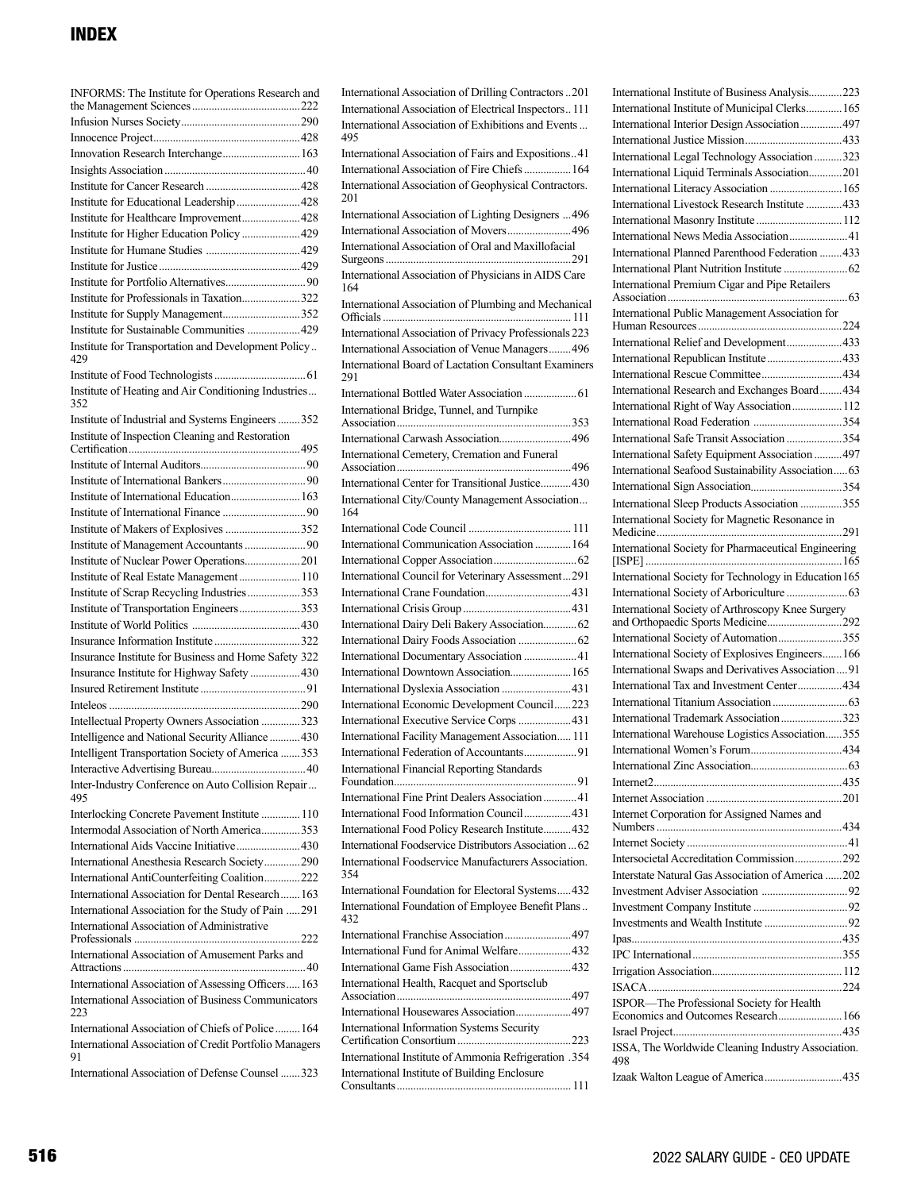| INFORMS: The Institute for Operations Research and           |
|--------------------------------------------------------------|
|                                                              |
|                                                              |
| Innovation Research Interchange 163                          |
|                                                              |
|                                                              |
| Institute for Educational Leadership428                      |
| Institute for Healthcare Improvement428                      |
| Institute for Higher Education Policy 429                    |
|                                                              |
|                                                              |
|                                                              |
| Institute for Professionals in Taxation322                   |
| Institute for Supply Management352                           |
| Institute for Sustainable Communities  429                   |
| Institute for Transportation and Development Policy<br>429   |
|                                                              |
| Institute of Heating and Air Conditioning Industries<br>352  |
| Institute of Industrial and Systems Engineers 352            |
| Institute of Inspection Cleaning and Restoration             |
|                                                              |
|                                                              |
|                                                              |
| Institute of International Education 163                     |
|                                                              |
| Institute of Makers of Explosives 352                        |
|                                                              |
| Institute of Nuclear Power Operations201                     |
| Institute of Real Estate Management 110                      |
| Institute of Scrap Recycling Industries353                   |
| Institute of Transportation Engineers353                     |
|                                                              |
|                                                              |
| Insurance Institute for Business and Home Safety 322         |
| Insurance Institute for Highway Safety 430                   |
|                                                              |
|                                                              |
| Intellectual Property Owners Association 323                 |
| Intelligence and National Security Alliance  430             |
| Intelligent Transportation Society of America 353            |
| Inter-Industry Conference on Auto Collision Repair           |
| 495                                                          |
| Interlocking Concrete Pavement Institute  110                |
| Intermodal Association of North America353                   |
| International Aids Vaccine Initiative430                     |
| International Anesthesia Research Society290                 |
| International AntiCounterfeiting Coalition222                |
| International Association for Dental Research163             |
| International Association for the Study of Pain 291          |
| International Association of Administrative                  |
| International Association of Amusement Parks and             |
| International Association of Assessing Officers 163          |
| International Association of Business Communicators<br>223   |
| International Association of Chiefs of Police 164            |
| International Association of Credit Portfolio Managers<br>91 |
| International Association of Defense Counsel 323             |

International Association of Drilling Contractors..201 International Association of Electrical Inspectors.. 111 International Association of Exhibitions and Events... 495 International Association of Fairs and Expositions..41 International Association of Fire Chiefs.................164 International Association of Geophysical Contractors. 201 International Association of Lighting Designers ...496 International Association of Movers.......................496 International Association of Oral and Maxillofacial Surgeons...................................................................291 International Association of Physicians in AIDS Care 164 International Association of Plumbing and Mechanical Officials.................................................................... 111 International Association of Privacy Professionals 223 International Association of Venue Managers........496 International Board of Lactation Consultant Examiners 291 International Bottled Water Association ...................61 International Bridge, Tunnel, and Turnpike Association...............................................................353 International Carwash Association..........................496 International Cemetery, Cremation and Funeral Association...............................................................496 International Center for Transitional Justice...........430 International City/County Management Association... 164 International Code Council ..................................... 111 International Communication Association .............164 International Copper Association..............................62 International Council for Veterinary Assessment...291 International Crane Foundation...............................431 International Crisis Group.......................................431 International Dairy Deli Bakery Association............62 International Dairy Foods Association .....................62 International Documentary Association ...................41 International Downtown Association......................165 International Dyslexia Association .........................431 International Economic Development Council......223 International Executive Service Corps ...................431 International Facility Management Association..... 111 International Federation of Accountants...................91 International Financial Reporting Standards Foundation..................................................................91 International Fine Print Dealers Association............41 International Food Information Council.................431 International Food Policy Research Institute..........432 International Foodservice Distributors Association ...62 International Foodservice Manufacturers Association. 354 International Foundation for Electoral Systems.....432 International Foundation of Employee Benefit Plans.. 432 International Franchise Association........................497 International Fund for Animal Welfare...................432 International Game Fish Association......................432 International Health, Racquet and Sportsclub Association...............................................................497 International Housewares Association....................497 International Information Systems Security Certification Consortium.........................................223 International Institute of Ammonia Refrigeration .354 International Institute of Building Enclosure Consultants............................................................... 111

International Institute of Business Analysis............223 International Institute of Municipal Clerks.............165 International Interior Design Association...............497 International Justice Mission...................................433 International Legal Technology Association..........323 International Liquid Terminals Association............201 International Literacy Association ..........................165 International Livestock Research Institute .............433 International Masonry Institute ...............................112 International News Media Association.....................41 International Planned Parenthood Federation ........433 International Plant Nutrition Institute .......................62 International Premium Cigar and Pipe Retailers Association.................................................................63 International Public Management Association for Human Resources....................................................224 International Relief and Development....................433 International Republican Institute...........................433 International Rescue Committee.............................434 International Research and Exchanges Board........434 International Right of Way Association..................112 International Road Federation ................................354 International Safe Transit Association ....................354 International Safety Equipment Association ..........497 International Seafood Sustainability Association.....63 International Sign Association.................................354 International Sleep Products Association ...............355 International Society for Magnetic Resonance in Medicine...................................................................291 International Society for Pharmaceutical Engineering [ISPE].......................................................................165 International Society for Technology in Education 165 International Society of Arboriculture ......................63 International Society of Arthroscopy Knee Surgery and Orthopaedic Sports Medicine...........................292 International Society of Automation.......................355 International Society of Explosives Engineers.......166 International Swaps and Derivatives Association....91 International Tax and Investment Center................434 International Titanium Association...........................63 International Trademark Association......................323 International Warehouse Logistics Association......355 International Women's Forum.................................434 International Zinc Association...................................63 Internet2....................................................................435 Internet Association .................................................201 Internet Corporation for Assigned Names and Numbers...................................................................434 Internet Society ..........................................................41 Intersocietal Accreditation Commission.................292 Interstate Natural Gas Association of America ......202 Investment Adviser Association ...............................92 Investment Company Institute ..................................92 Investments and Wealth Institute ..............................92 Ipas............................................................................435 IPC International......................................................355 Irrigation Association...............................................112 ISACA......................................................................224 ISPOR—The Professional Society for Health Economics and Outcomes Research.......................166 Israel Project.............................................................435 ISSA, The Worldwide Cleaning Industry Association. 498 Izaak Walton League of America............................435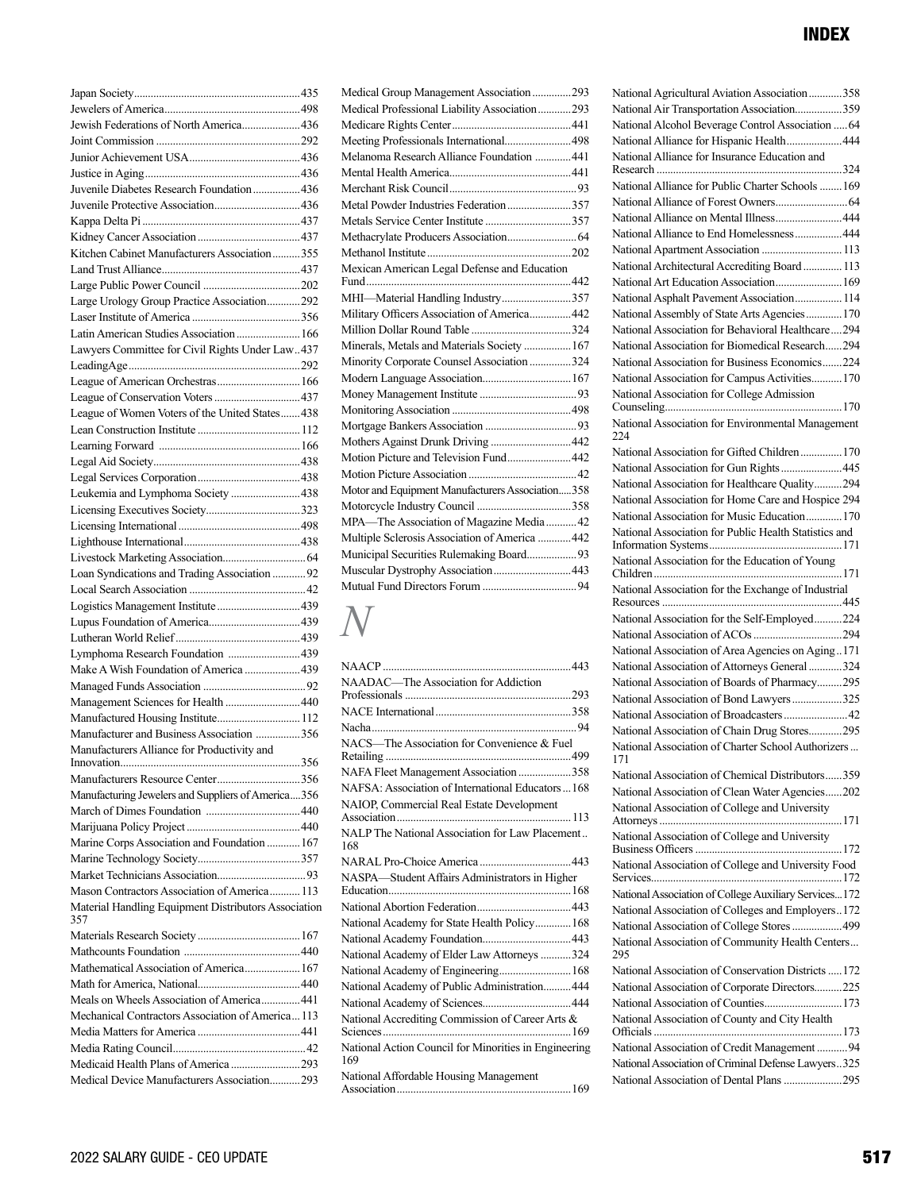| Jewish Federations of North America436                      |     |
|-------------------------------------------------------------|-----|
|                                                             |     |
|                                                             |     |
|                                                             |     |
| Juvenile Diabetes Research Foundation  436                  |     |
|                                                             |     |
|                                                             |     |
|                                                             |     |
| Kitchen Cabinet Manufacturers Association355                |     |
|                                                             |     |
|                                                             |     |
| Large Urology Group Practice Association292                 |     |
|                                                             |     |
| Latin American Studies Association  166                     |     |
| Lawyers Committee for Civil Rights Under Law437             |     |
|                                                             |     |
|                                                             |     |
|                                                             |     |
| League of Women Voters of the United States 438             |     |
|                                                             |     |
|                                                             |     |
|                                                             |     |
|                                                             |     |
| Leukemia and Lymphoma Society 438                           |     |
|                                                             |     |
|                                                             |     |
|                                                             |     |
|                                                             |     |
| Loan Syndications and Trading Association  92               |     |
|                                                             |     |
|                                                             |     |
|                                                             |     |
|                                                             |     |
| Lymphoma Research Foundation 439                            |     |
| Make A Wish Foundation of America 439                       |     |
|                                                             |     |
| Management Sciences for Health 440                          |     |
| Manufactured Housing Institute 112                          |     |
| Manufacturer and Business Association 356                   |     |
| Manufacturers Alliance for Productivity and                 |     |
| Innovation                                                  | 356 |
|                                                             |     |
| Manufacturing Jewelers and Suppliers of America356          |     |
|                                                             |     |
|                                                             |     |
| Marine Corps Association and Foundation  167                |     |
|                                                             |     |
|                                                             |     |
| Mason Contractors Association of America 113                |     |
| Material Handling Equipment Distributors Association<br>357 |     |
|                                                             |     |
|                                                             |     |
| Mathematical Association of America 167                     |     |
|                                                             |     |
| Meals on Wheels Association of America441                   |     |
| Mechanical Contractors Association of America113            |     |
|                                                             |     |
|                                                             |     |
| Medicaid Health Plans of America 293                        |     |
| Medical Device Manufacturers Association293                 |     |

| Medical Group Management Association293          |
|--------------------------------------------------|
| Medical Professional Liability Association293    |
|                                                  |
| Meeting Professionals International498           |
| Melanoma Research Alliance Foundation  441       |
|                                                  |
|                                                  |
| Metal Powder Industries Federation 357           |
|                                                  |
|                                                  |
|                                                  |
| Mexican American Legal Defense and Education     |
|                                                  |
| MHI-Material Handling Industry357                |
| Military Officers Association of America 442     |
|                                                  |
| Minerals, Metals and Materials Society  167      |
| Minority Corporate Counsel Association 324       |
| Modern Language Association 167                  |
|                                                  |
|                                                  |
|                                                  |
| Mothers Against Drunk Driving  442               |
| Motion Picture and Television Fund442            |
|                                                  |
| Motor and Equipment Manufacturers Association358 |
|                                                  |
| MPA-The Association of Magazine Media  42        |
| Multiple Sclerosis Association of America  442   |
| Municipal Securities Rulemaking Board93          |
| Muscular Dystrophy Association 443               |
|                                                  |

# *N*

| NAADAC-The Association for Addiction                         |
|--------------------------------------------------------------|
|                                                              |
|                                                              |
|                                                              |
| NACS-The Association for Convenience & Fuel                  |
| NAFA Fleet Management Association 358                        |
| NAFSA: Association of International Educators  168           |
| NAIOP, Commercial Real Estate Development                    |
|                                                              |
| NALP The National Association for Law Placement<br>168       |
|                                                              |
| NASPA-Student Affairs Administrators in Higher               |
|                                                              |
|                                                              |
| National Academy for State Health Policy 168                 |
|                                                              |
| National Academy of Elder Law Attorneys 324                  |
| National Academy of Engineering 168                          |
| National Academy of Public Administration 444                |
|                                                              |
| National Accrediting Commission of Career Arts &             |
| National Action Council for Minorities in Engineering<br>169 |
| National Affordable Housing Management                       |

| National Agricultural Aviation Association 358                                                       |
|------------------------------------------------------------------------------------------------------|
| National Air Transportation Association359                                                           |
| National Alcohol Beverage Control Association  64                                                    |
| National Alliance for Hispanic Health 444                                                            |
| National Alliance for Insurance Education and                                                        |
|                                                                                                      |
| National Alliance for Public Charter Schools 169                                                     |
|                                                                                                      |
| National Alliance on Mental Illness444                                                               |
| National Alliance to End Homelessness 444                                                            |
| National Apartment Association  113                                                                  |
| National Architectural Accrediting Board  113                                                        |
| National Art Education Association 169                                                               |
| National Asphalt Pavement Association 114                                                            |
| National Assembly of State Arts Agencies170<br>National Association for Behavioral Healthcare294     |
| National Association for Biomedical Research294                                                      |
| National Association for Business Economics224                                                       |
| National Association for Campus Activities 170                                                       |
| National Association for College Admission                                                           |
|                                                                                                      |
| National Association for Environmental Management<br>224                                             |
| National Association for Gifted Children 170                                                         |
| National Association for Gun Rights445                                                               |
| National Association for Healthcare Quality294                                                       |
| National Association for Home Care and Hospice 294                                                   |
| National Association for Music Education 170                                                         |
| National Association for Public Health Statistics and                                                |
|                                                                                                      |
| National Association for the Education of Young                                                      |
|                                                                                                      |
| National Association for the Exchange of Industrial                                                  |
|                                                                                                      |
| National Association for the Self-Employed224                                                        |
|                                                                                                      |
| National Association of Area Agencies on Aging171                                                    |
| National Association of Attorneys General 324                                                        |
| National Association of Boards of Pharmacy295                                                        |
| National Association of Bond Lawyers325                                                              |
|                                                                                                      |
| National Association of Chain Drug Stores295                                                         |
| National Association of Charter School Authorizers<br>171                                            |
| National Association of Chemical Distributors359                                                     |
| National Association of Clean Water Agencies202                                                      |
| National Association of College and University                                                       |
| National Association of College and University                                                       |
| National Association of College and University Food                                                  |
|                                                                                                      |
| National Association of College Auxiliary Services172                                                |
| National Association of Colleges and Employers172                                                    |
| National Association of College Stores  499                                                          |
| National Association of Community Health Centers<br>295                                              |
| National Association of Conservation Districts  172                                                  |
| National Association of Corporate Directors225                                                       |
| National Association of Counties 173                                                                 |
| National Association of County and City Health                                                       |
| National Association of Credit Management  94<br>National Association of Criminal Defense Lawyers325 |

National Association of Dental Plans.....................295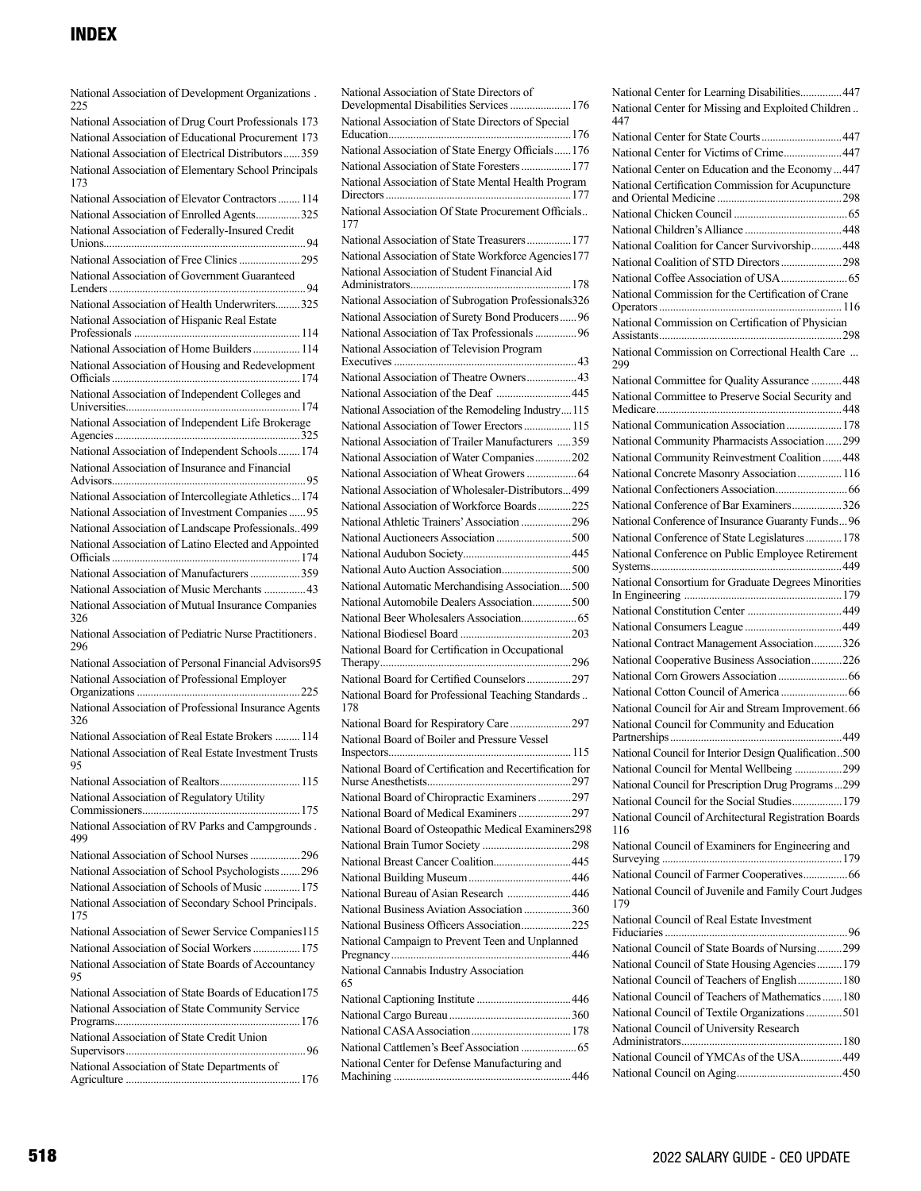National Association of Development Organizations . 225

| National Association of Drug Court Professionals 173                                              |
|---------------------------------------------------------------------------------------------------|
| National Association of Educational Procurement 173                                               |
| National Association of Electrical Distributors359                                                |
| National Association of Elementary School Principals<br>173                                       |
| National Association of Elevator Contractors  114                                                 |
| National Association of Enrolled Agents325                                                        |
| National Association of Federally-Insured Credit                                                  |
| National Association of Free Clinics 295                                                          |
| National Association of Government Guaranteed                                                     |
|                                                                                                   |
| National Association of Health Underwriters325                                                    |
| National Association of Hispanic Real Estate                                                      |
| National Association of Home Builders  114                                                        |
| National Association of Housing and Redevelopment                                                 |
| National Association of Independent Colleges and                                                  |
| National Association of Independent Life Brokerage                                                |
| National Association of Independent Schools 174                                                   |
| National Association of Insurance and Financial                                                   |
| National Association of Intercollegiate Athletics  174                                            |
| National Association of Investment Companies  95                                                  |
| National Association of Landscape Professionals499                                                |
| National Association of Latino Elected and Appointed                                              |
| National Association of Manufacturers 359                                                         |
| National Association of Music Merchants  43                                                       |
|                                                                                                   |
| National Association of Mutual Insurance Companies<br>326                                         |
| National Association of Pediatric Nurse Practitioners.<br>296                                     |
| National Association of Personal Financial Advisors95                                             |
| National Association of Professional Employer                                                     |
|                                                                                                   |
| National Association of Professional Insurance Agents<br>326                                      |
| National Association of Real Estate Brokers  114                                                  |
| National Association of Real Estate Investment Trusts<br>95                                       |
| National Association of Realtors 115                                                              |
| National Association of Regulatory Utility                                                        |
| National Association of RV Parks and Campgrounds.<br>499                                          |
| National Association of School Nurses 296                                                         |
|                                                                                                   |
| National Association of School Psychologists 296<br>National Association of Schools of Music  175 |
| National Association of Secondary School Principals.<br>175                                       |
| National Association of Sewer Service Companies115                                                |
| National Association of Social Workers  175                                                       |
| National Association of State Boards of Accountancy<br>95                                         |
| National Association of State Boards of Education 175                                             |
| National Association of State Community Service                                                   |
| National Association of State Credit Union                                                        |
| National Association of State Departments of                                                      |

National Association of State Directors of Developmental Disabilities Services......................176 National Association of State Directors of Special Education..................................................................176 National Association of State Energy Officials......176 National Association of State Foresters..................177 National Association of State Mental Health Program Directors...................................................................177 National Association Of State Procurement Officials.. 177 National Association of State Treasurers................177 National Association of State Workforce Agencies177 National Association of Student Financial Aid Administrators..........................................................178 National Association of Subrogation Professionals326 National Association of Surety Bond Producers......96 National Association of Tax Professionals...............96 National Association of Television Program Executives..................................................................43 National Association of Theatre Owners..................43 National Association of the Deaf ...........................445 National Association of the Remodeling Industry....115 National Association of Tower Erectors.................115 National Association of Trailer Manufacturers .....359 National Association of Water Companies.............202 National Association of Wheat Growers..................64 National Association of Wholesaler-Distributors...499 National Association of Workforce Boards............225 National Athletic Trainers' Association ..................296 National Auctioneers Association...........................500 National Audubon Society.......................................445 National Auto Auction Association.........................500 National Automatic Merchandising Association....500 National Automobile Dealers Association..............500 National Beer Wholesalers Association....................65 National Biodiesel Board ........................................203 National Board for Certification in Occupational Therapy.....................................................................296 National Board for Certified Counselors................297 National Board for Professional Teaching Standards.. 178 National Board for Respiratory Care......................297 National Board of Boiler and Pressure Vessel Inspectors..................................................................115 National Board of Certification and Recertification for Nurse Anesthetists....................................................297 National Board of Chiropractic Examiners............297 National Board of Medical Examiners...................297 National Board of Osteopathic Medical Examiners298 National Brain Tumor Society ................................298 National Breast Cancer Coalition............................445 National Building Museum.....................................446 National Bureau of Asian Research .......................446 National Business Aviation Association .................360 National Business Officers Association..................225 National Campaign to Prevent Teen and Unplanned Pregnancy.................................................................446 National Cannabis Industry Association 65 National Captioning Institute ..................................446 National Cargo Bureau............................................360 National CASA Association....................................178 National Cattlemen's Beef Association ....................65 National Center for Defense Manufacturing and Machining ................................................................446

National Center for Learning Disabilities...............447 National Center for Missing and Exploited Children .. 447 National Center for State Courts.............................447 National Center for Victims of Crime.....................447 National Center on Education and the Economy...447 National Certification Commission for Acupuncture and Oriental Medicine .............................................298 National Chicken Council.........................................65 National Children's Alliance ...................................448 National Coalition for Cancer Survivorship...........448 National Coalition of STD Directors......................298 National Coffee Association of USA........................65 National Commission for the Certification of Crane Operators..................................................................116 National Commission on Certification of Physician Assistants..................................................................298 National Commission on Correctional Health Care ... 299 National Committee for Quality Assurance ...........448 National Committee to Preserve Social Security and Medicare...................................................................448 National Communication Association....................178 National Community Pharmacists Association......299 National Community Reinvestment Coalition.......448 National Concrete Masonry Association................116 National Confectioners Association..........................66 National Conference of Bar Examiners..................326 National Conference of Insurance Guaranty Funds...96 National Conference of State Legislatures.............178 National Conference on Public Employee Retirement Systems.....................................................................449 National Consortium for Graduate Degrees Minorities In Engineering .........................................................179 National Constitution Center ..................................449 National Consumers League ...................................449 National Contract Management Association..........326 National Cooperative Business Association...........226 National Corn Growers Association .........................66 National Cotton Council of America ........................66 National Council for Air and Stream Improvement.66 National Council for Community and Education Partnerships..............................................................449 National Council for Interior Design Qualification..500 National Council for Mental Wellbeing .................299 National Council for Prescription Drug Programs...299 National Council for the Social Studies..................179 National Council of Architectural Registration Boards 116 National Council of Examiners for Engineering and Surveying .................................................................179 National Council of Farmer Cooperatives................66 National Council of Juvenile and Family Court Judges 179 National Council of Real Estate Investment Fiduciaries..................................................................96 National Council of State Boards of Nursing.........299 National Council of State Housing Agencies.........179 National Council of Teachers of English................180 National Council of Teachers of Mathematics.......180 National Council of Textile Organizations.............501 National Council of University Research Administrators..........................................................180 National Council of YMCAs of the USA...............449 National Council on Aging......................................450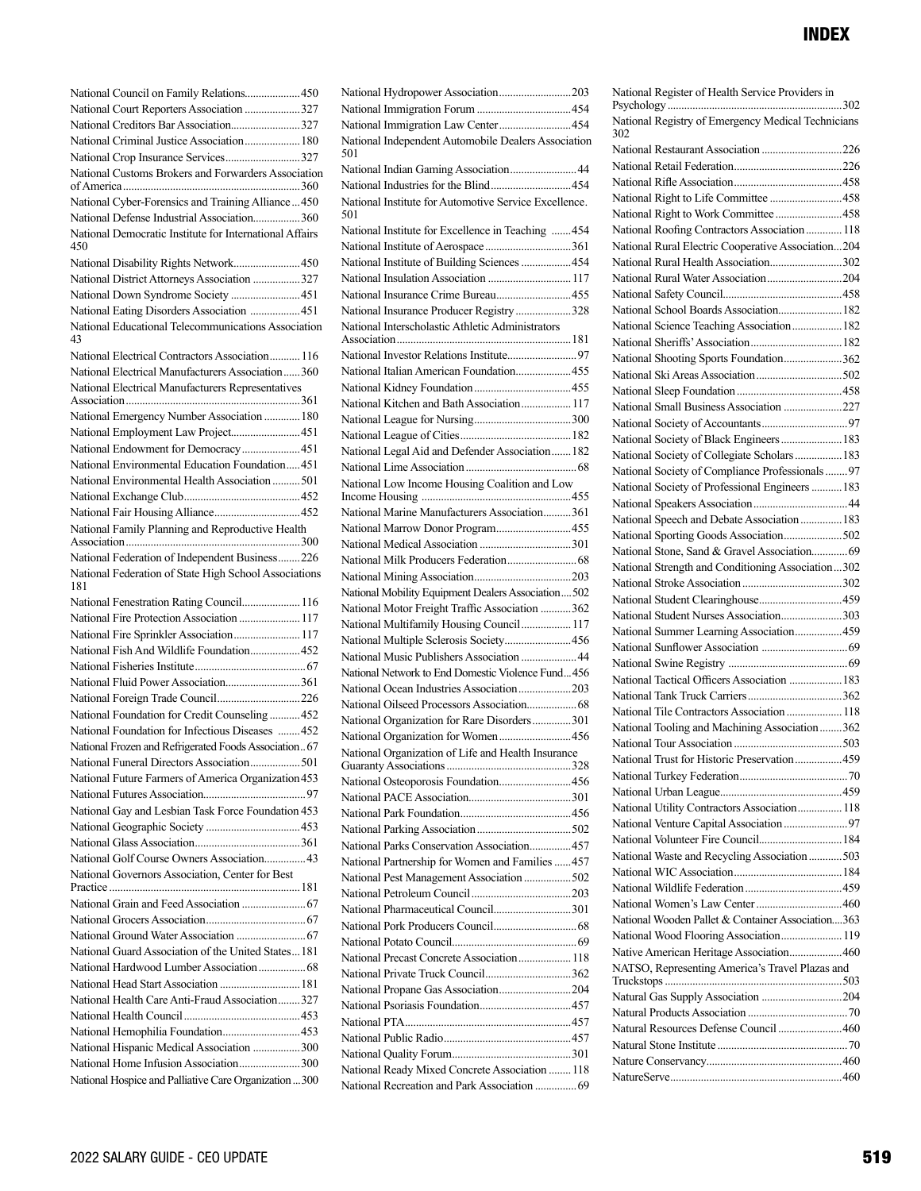| National Council on Family Relations450                                                         |  |
|-------------------------------------------------------------------------------------------------|--|
| National Court Reporters Association 327                                                        |  |
| National Creditors Bar Association327                                                           |  |
| National Criminal Justice Association 180                                                       |  |
| National Crop Insurance Services327                                                             |  |
| National Customs Brokers and Forwarders Association                                             |  |
| National Cyber-Forensics and Training Alliance  450                                             |  |
| National Defense Industrial Association360                                                      |  |
| National Democratic Institute for International Affairs<br>450                                  |  |
| National Disability Rights Network450                                                           |  |
| National District Attorneys Association 327                                                     |  |
| National Down Syndrome Society  451                                                             |  |
| National Eating Disorders Association  451                                                      |  |
| National Educational Telecommunications Association<br>43                                       |  |
| National Electrical Contractors Association 116                                                 |  |
| National Electrical Manufacturers Association360                                                |  |
| National Electrical Manufacturers Representatives                                               |  |
| National Emergency Number Association  180                                                      |  |
| National Employment Law Project451                                                              |  |
| National Endowment for Democracy451                                                             |  |
| National Environmental Education Foundation451                                                  |  |
|                                                                                                 |  |
|                                                                                                 |  |
|                                                                                                 |  |
| National Family Planning and Reproductive Health                                                |  |
|                                                                                                 |  |
| National Federation of Independent Business226                                                  |  |
| National Federation of State High School Associations                                           |  |
| 181                                                                                             |  |
| National Fenestration Rating Council 116                                                        |  |
| National Fire Protection Association  117                                                       |  |
| National Fire Sprinkler Association 117                                                         |  |
| National Fish And Wildlife Foundation452                                                        |  |
|                                                                                                 |  |
| National Fluid Power Association361                                                             |  |
| National Foreign Trade Council226                                                               |  |
| National Foundation for Credit Counseling  452                                                  |  |
| National Foundation for Infectious Diseases 452                                                 |  |
| National Frozen and Refrigerated Foods Association 67                                           |  |
| National Funeral Directors Association501                                                       |  |
| National Future Farmers of America Organization 453                                             |  |
|                                                                                                 |  |
| National Gay and Lesbian Task Force Foundation 453                                              |  |
|                                                                                                 |  |
|                                                                                                 |  |
| National Golf Course Owners Association 43                                                      |  |
| National Governors Association, Center for Best                                                 |  |
|                                                                                                 |  |
|                                                                                                 |  |
|                                                                                                 |  |
| National Guard Association of the United States181                                              |  |
|                                                                                                 |  |
| National Head Start Association  181                                                            |  |
| National Health Care Anti-Fraud Association327                                                  |  |
|                                                                                                 |  |
| National Hemophilia Foundation453                                                               |  |
| National Hispanic Medical Association 300                                                       |  |
| National Home Infusion Association300<br>National Hospice and Palliative Care Organization  300 |  |

|     | National Hydropower Association203                                                             |  |
|-----|------------------------------------------------------------------------------------------------|--|
|     |                                                                                                |  |
|     | National Immigration Law Center454                                                             |  |
| 501 | National Independent Automobile Dealers Association                                            |  |
|     | National Indian Gaming Association 44                                                          |  |
|     |                                                                                                |  |
| 501 | National Institute for Automotive Service Excellence.                                          |  |
|     | National Institute for Excellence in Teaching  454                                             |  |
|     |                                                                                                |  |
|     | National Institute of Building Sciences  454                                                   |  |
|     | National Insulation Association  117                                                           |  |
|     | National Insurance Crime Bureau455                                                             |  |
|     | National Insurance Producer Registry 328                                                       |  |
|     | National Interscholastic Athletic Administrators                                               |  |
|     |                                                                                                |  |
|     |                                                                                                |  |
|     | National Italian American Foundation 455                                                       |  |
|     |                                                                                                |  |
|     | National Kitchen and Bath Association 117                                                      |  |
|     |                                                                                                |  |
|     |                                                                                                |  |
|     |                                                                                                |  |
|     | National Legal Aid and Defender Association 182                                                |  |
|     |                                                                                                |  |
|     | National Low Income Housing Coalition and Low                                                  |  |
|     | National Marine Manufacturers Association361                                                   |  |
|     | National Marrow Donor Program 455                                                              |  |
|     |                                                                                                |  |
|     |                                                                                                |  |
|     |                                                                                                |  |
|     | National Mobility Equipment Dealers Association 502                                            |  |
|     | National Motor Freight Traffic Association 362                                                 |  |
|     | National Multifamily Housing Council 117                                                       |  |
|     | National Multiple Sclerosis Society456                                                         |  |
|     | National Music Publishers Association  44                                                      |  |
|     | National Network to End Domestic Violence Fund456                                              |  |
|     | National Ocean Industries Association203                                                       |  |
|     |                                                                                                |  |
|     | National Organization for Rare Disorders301                                                    |  |
|     | National Organization for Women456                                                             |  |
|     | National Organization of Life and Health Insurance                                             |  |
|     |                                                                                                |  |
|     |                                                                                                |  |
|     |                                                                                                |  |
|     | National Osteoporosis Foundation456                                                            |  |
|     |                                                                                                |  |
|     |                                                                                                |  |
|     |                                                                                                |  |
|     | National Parks Conservation Association 457                                                    |  |
|     | National Partnership for Women and Families  457                                               |  |
|     | National Pest Management Association  502                                                      |  |
|     |                                                                                                |  |
|     | National Pharmaceutical Council301                                                             |  |
|     |                                                                                                |  |
|     |                                                                                                |  |
|     | National Precast Concrete Association 118                                                      |  |
|     | National Private Truck Council362                                                              |  |
|     | National Propane Gas Association204                                                            |  |
|     |                                                                                                |  |
|     |                                                                                                |  |
|     |                                                                                                |  |
|     |                                                                                                |  |
|     | National Ready Mixed Concrete Association  118<br>National Recreation and Park Association  69 |  |

| National Register of Health Service Providers in          |  |
|-----------------------------------------------------------|--|
| National Registry of Emergency Medical Technicians<br>302 |  |
| National Restaurant Association 226                       |  |
|                                                           |  |
|                                                           |  |
| National Right to Life Committee 458                      |  |
| National Right to Work Committee 458                      |  |
| National Roofing Contractors Association  118             |  |
| National Rural Electric Cooperative Association204        |  |
| National Rural Health Association302                      |  |
| National Rural Water Association204                       |  |
|                                                           |  |
| National School Boards Association 182                    |  |
| National Science Teaching Association 182                 |  |
|                                                           |  |
| National Shooting Sports Foundation362                    |  |
|                                                           |  |
|                                                           |  |
| National Small Business Association 227                   |  |
|                                                           |  |
| National Society of Black Engineers  183                  |  |
| National Society of Collegiate Scholars 183               |  |
| National Society of Compliance Professionals97            |  |
| National Society of Professional Engineers  183           |  |
|                                                           |  |
| National Speech and Debate Association  183               |  |
| National Sporting Goods Association502                    |  |
| National Stone, Sand & Gravel Association 69              |  |
| National Strength and Conditioning Association302         |  |
|                                                           |  |
| National Student Clearinghouse459                         |  |
| National Student Nurses Association303                    |  |
| National Summer Learning Association459                   |  |
|                                                           |  |
|                                                           |  |
| National Tactical Officers Association  183               |  |
|                                                           |  |
| National Tile Contractors Association  118                |  |
| National Tooling and Machining Association 362            |  |
|                                                           |  |
| National Trust for Historic Preservation459               |  |
|                                                           |  |
|                                                           |  |
| National Utility Contractors Association 118              |  |
|                                                           |  |
| National Volunteer Fire Council 184                       |  |
| National Waste and Recycling Association  503             |  |
|                                                           |  |
|                                                           |  |
| National Women's Law Center 460                           |  |
|                                                           |  |
| National Wooden Pallet & Container Association363         |  |
| National Wood Flooring Association 119                    |  |
| Native American Heritage Association 460                  |  |
| NATSO, Representing America's Travel Plazas and           |  |
| Natural Gas Supply Association 204                        |  |
|                                                           |  |
| Natural Resources Defense Council 460                     |  |
|                                                           |  |
|                                                           |  |
|                                                           |  |
|                                                           |  |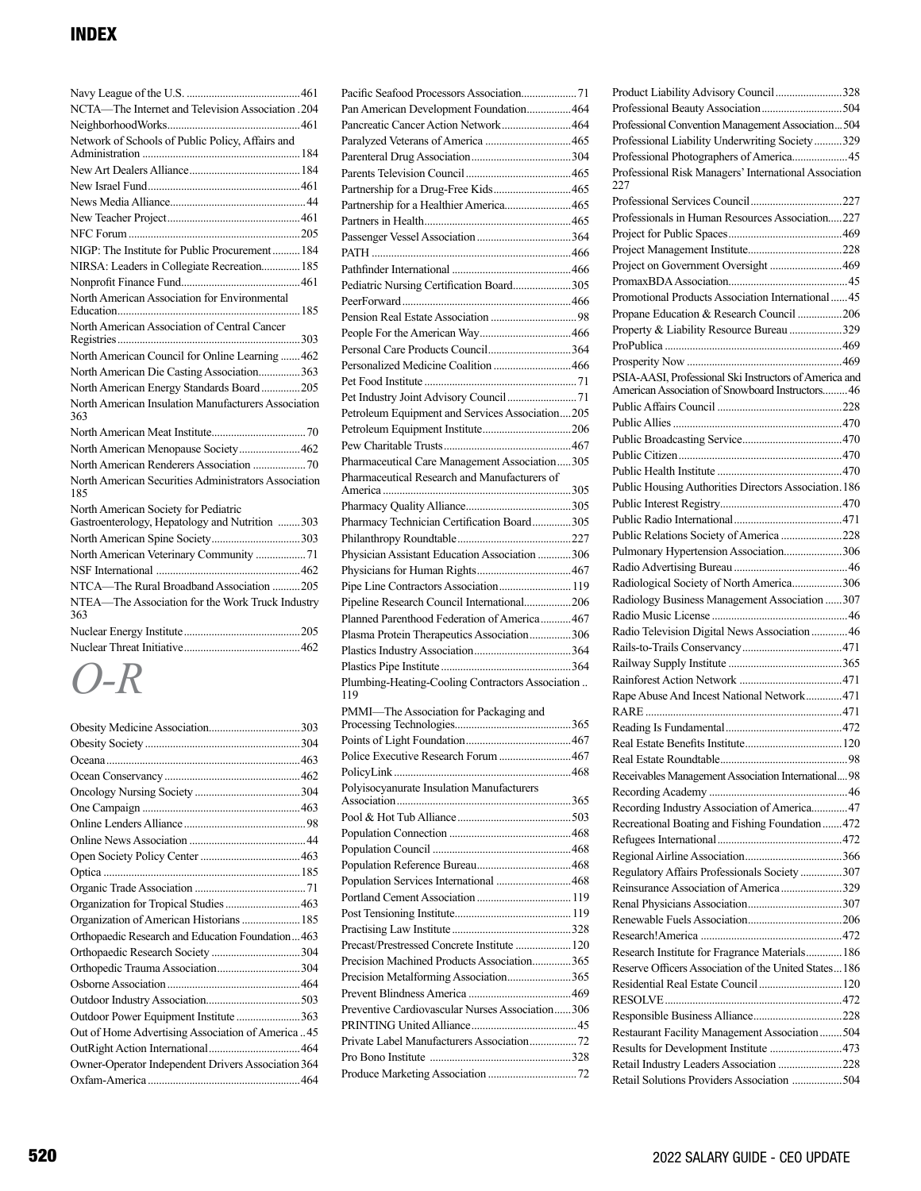| NCTA-The Internet and Television Association .204           |
|-------------------------------------------------------------|
|                                                             |
| Network of Schools of Public Policy, Affairs and            |
|                                                             |
|                                                             |
|                                                             |
|                                                             |
|                                                             |
|                                                             |
| NIGP: The Institute for Public Procurement184               |
| NIRSA: Leaders in Collegiate Recreation 185                 |
|                                                             |
| North American Association for Environmental                |
|                                                             |
| North American Association of Central Cancer                |
|                                                             |
| North American Council for Online Learning  462             |
| North American Die Casting Association363                   |
| North American Energy Standards Board 205                   |
| North American Insulation Manufacturers Association<br>363  |
|                                                             |
| North American Menopause Society462                         |
|                                                             |
| North American Securities Administrators Association<br>185 |
| North American Society for Pediatric                        |
| Gastroenterology, Hepatology and Nutrition 303              |
| North American Spine Society303                             |
| North American Veterinary Community 71                      |
|                                                             |
| NTCA-The Rural Broadband Association 205                    |
| NTEA-The Association for the Work Truck Industry<br>363     |
|                                                             |
|                                                             |

*O-R*

| Organization for Tropical Studies463               |  |
|----------------------------------------------------|--|
| Organization of American Historians  185           |  |
| Orthopaedic Research and Education Foundation463   |  |
|                                                    |  |
| Orthopedic Trauma Association304                   |  |
|                                                    |  |
|                                                    |  |
| Outdoor Power Equipment Institute 363              |  |
| Out of Home Advertising Association of America45   |  |
|                                                    |  |
| Owner-Operator Independent Drivers Association 364 |  |
|                                                    |  |

| Pan American Development Foundation 464                                                    |  |
|--------------------------------------------------------------------------------------------|--|
| Pancreatic Cancer Action Network 464                                                       |  |
|                                                                                            |  |
|                                                                                            |  |
|                                                                                            |  |
| Partnership for a Drug-Free Kids 465                                                       |  |
| Partnership for a Healthier America 465                                                    |  |
|                                                                                            |  |
|                                                                                            |  |
|                                                                                            |  |
|                                                                                            |  |
| Pediatric Nursing Certification Board305                                                   |  |
|                                                                                            |  |
|                                                                                            |  |
|                                                                                            |  |
|                                                                                            |  |
| Personalized Medicine Coalition  466                                                       |  |
|                                                                                            |  |
|                                                                                            |  |
| Petroleum Equipment and Services Association205                                            |  |
|                                                                                            |  |
| Pharmaceutical Care Management Association305                                              |  |
| Pharmaceutical Research and Manufacturers of                                               |  |
|                                                                                            |  |
|                                                                                            |  |
| Pharmacy Technician Certification Board305                                                 |  |
|                                                                                            |  |
| Physician Assistant Education Association  306                                             |  |
|                                                                                            |  |
| Pipe Line Contractors Association 119                                                      |  |
|                                                                                            |  |
|                                                                                            |  |
| Pipeline Research Council International206<br>Planned Parenthood Federation of America 467 |  |
| Plasma Protein Therapeutics Association306                                                 |  |
|                                                                                            |  |
|                                                                                            |  |
| Plumbing-Heating-Cooling Contractors Association<br>119                                    |  |
| PMMI-The Association for Packaging and                                                     |  |
|                                                                                            |  |
|                                                                                            |  |
| Police Executive Research Forum  467                                                       |  |
|                                                                                            |  |
| Polyisocyanurate Insulation Manufacturers                                                  |  |
|                                                                                            |  |
|                                                                                            |  |
|                                                                                            |  |
|                                                                                            |  |
| Population Services International  468                                                     |  |
|                                                                                            |  |
|                                                                                            |  |
|                                                                                            |  |
| Precast/Prestressed Concrete Institute  120                                                |  |
| Precision Machined Products Association365                                                 |  |
| Precision Metalforming Association365                                                      |  |
|                                                                                            |  |
| Preventive Cardiovascular Nurses Association306                                            |  |
|                                                                                            |  |
|                                                                                            |  |
|                                                                                            |  |

| Product Liability Advisory Council328                                                                      |
|------------------------------------------------------------------------------------------------------------|
|                                                                                                            |
| Professional Convention Management Association 504                                                         |
| Professional Liability Underwriting Society329                                                             |
| Professional Photographers of America 45                                                                   |
| Professional Risk Managers' International Association<br>227                                               |
|                                                                                                            |
| Professionals in Human Resources Association227                                                            |
|                                                                                                            |
|                                                                                                            |
| Project on Government Oversight  469                                                                       |
|                                                                                                            |
| Promotional Products Association International 45                                                          |
|                                                                                                            |
| Propane Education & Research Council 206                                                                   |
| Property & Liability Resource Bureau 329                                                                   |
|                                                                                                            |
|                                                                                                            |
| PSIA-AASI, Professional Ski Instructors of America and<br>American Association of Snowboard Instructors 46 |
|                                                                                                            |
|                                                                                                            |
|                                                                                                            |
|                                                                                                            |
|                                                                                                            |
|                                                                                                            |
| Public Housing Authorities Directors Association. 186                                                      |
|                                                                                                            |
|                                                                                                            |
| Public Relations Society of America 228                                                                    |
| Pulmonary Hypertension Association306                                                                      |
|                                                                                                            |
| Radiological Society of North America306                                                                   |
| Radiology Business Management Association 307                                                              |
|                                                                                                            |
| Radio Television Digital News Association  46                                                              |
|                                                                                                            |
|                                                                                                            |
|                                                                                                            |
| Rape Abuse And Incest National Network471                                                                  |
|                                                                                                            |
|                                                                                                            |
|                                                                                                            |
|                                                                                                            |
| Receivables Management Association International 98                                                        |
|                                                                                                            |
| Recording Industry Association of America 47                                                               |
| Recreational Boating and Fishing Foundation  472                                                           |
|                                                                                                            |
|                                                                                                            |
| Regulatory Affairs Professionals Society 307                                                               |
| Reinsurance Association of America 329                                                                     |
|                                                                                                            |
|                                                                                                            |
|                                                                                                            |
| Research Institute for Fragrance Materials 186                                                             |
| Reserve Officers Association of the United States186                                                       |
| Residential Real Estate Council  120                                                                       |
|                                                                                                            |
|                                                                                                            |
|                                                                                                            |
| Restaurant Facility Management Association  504                                                            |
| Results for Development Institute 473                                                                      |
| Retail Industry Leaders Association 228                                                                    |
| Retail Solutions Providers Association 504                                                                 |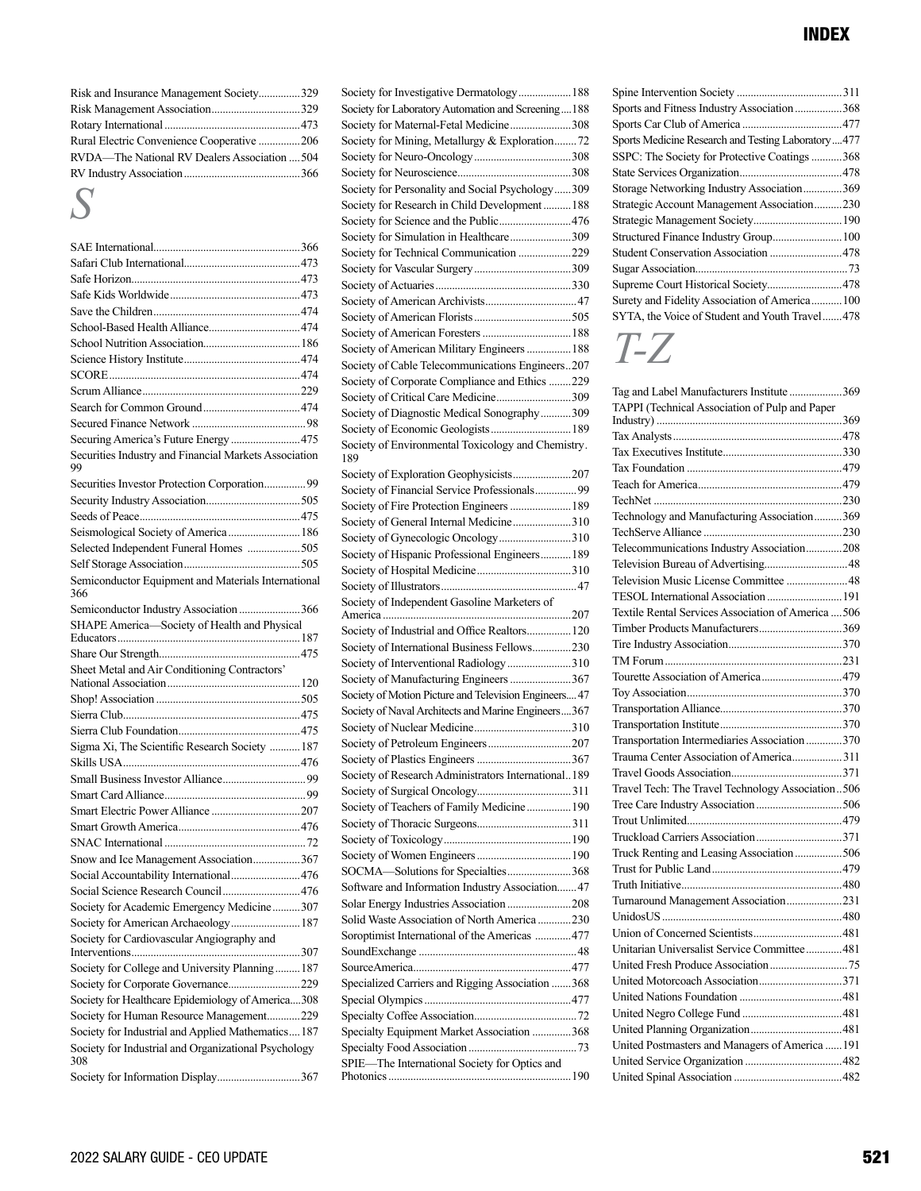| Risk and Insurance Management Society329      |  |
|-----------------------------------------------|--|
|                                               |  |
|                                               |  |
| Rural Electric Convenience Cooperative 206    |  |
| RVDA-The National RV Dealers Association  504 |  |
|                                               |  |
|                                               |  |

## *S*

| Securing America's Future Energy  475                                                                            |
|------------------------------------------------------------------------------------------------------------------|
| Securities Industry and Financial Markets Association<br>99                                                      |
| Securities Investor Protection Corporation99                                                                     |
|                                                                                                                  |
|                                                                                                                  |
| Seismological Society of America  186                                                                            |
| Selected Independent Funeral Homes 505                                                                           |
|                                                                                                                  |
| Semiconductor Equipment and Materials International<br>366                                                       |
| Semiconductor Industry Association 366                                                                           |
| SHAPE America-Society of Health and Physical                                                                     |
|                                                                                                                  |
|                                                                                                                  |
| Sheet Metal and Air Conditioning Contractors'                                                                    |
|                                                                                                                  |
|                                                                                                                  |
|                                                                                                                  |
|                                                                                                                  |
|                                                                                                                  |
| Sigma Xi, The Scientific Research Society  187                                                                   |
|                                                                                                                  |
|                                                                                                                  |
|                                                                                                                  |
|                                                                                                                  |
|                                                                                                                  |
|                                                                                                                  |
| Snow and Ice Management Association367                                                                           |
| Social Accountability International476                                                                           |
| Social Science Research Council476                                                                               |
| Society for Academic Emergency Medicine307                                                                       |
| Society for American Archaeology 187                                                                             |
| Society for Cardiovascular Angiography and                                                                       |
|                                                                                                                  |
| Society for College and University Planning 187                                                                  |
| Society for Corporate Governance229                                                                              |
| Society for Healthcare Epidemiology of America308                                                                |
| Society for Human Resource Management229                                                                         |
| Society for Industrial and Applied Mathematics187<br>Society for Industrial and Organizational Psychology<br>308 |

| Society for Investigative Dermatology 188                                               |
|-----------------------------------------------------------------------------------------|
| Society for Laboratory Automation and Screening188                                      |
| Society for Maternal-Fetal Medicine308                                                  |
| Society for Mining, Metallurgy & Exploration72                                          |
|                                                                                         |
|                                                                                         |
| Society for Personality and Social Psychology309                                        |
| Society for Research in Child Development  188                                          |
| Society for Science and the Public476                                                   |
| Society for Simulation in Healthcare309                                                 |
| Society for Technical Communication 229                                                 |
|                                                                                         |
|                                                                                         |
|                                                                                         |
|                                                                                         |
|                                                                                         |
| Society of American Military Engineers  188                                             |
| Society of Cable Telecommunications Engineers207                                        |
| Society of Corporate Compliance and Ethics 229                                          |
| Society of Critical Care Medicine309                                                    |
| Society of Diagnostic Medical Sonography309                                             |
| Society of Economic Geologists 189                                                      |
| Society of Environmental Toxicology and Chemistry.<br>189                               |
| Society of Exploration Geophysicists207                                                 |
| Society of Financial Service Professionals99                                            |
| Society of Fire Protection Engineers  189                                               |
| Society of General Internal Medicine310                                                 |
| Society of Gynecologic Oncology310                                                      |
| Society of Hispanic Professional Engineers 189                                          |
|                                                                                         |
|                                                                                         |
|                                                                                         |
| Society of Independent Gasoline Marketers of                                            |
|                                                                                         |
| Society of Industrial and Office Realtors 120                                           |
| Society of International Business Fellows230                                            |
| Society of Interventional Radiology 310                                                 |
| Society of Manufacturing Engineers 367                                                  |
| Society of Motion Picture and Television Engineers 47                                   |
| Society of Naval Architects and Marine Engineers367                                     |
|                                                                                         |
|                                                                                         |
|                                                                                         |
| Society of Research Administrators International189                                     |
|                                                                                         |
| Society of Teachers of Family Medicine  190                                             |
|                                                                                         |
|                                                                                         |
|                                                                                         |
| SOCMA-Solutions for Specialties368                                                      |
| Software and Information Industry Association 47                                        |
| Solar Energy Industries Association  208<br>Solid Waste Association of North America230 |
| Soroptimist International of the Americas  477                                          |
|                                                                                         |
|                                                                                         |
| Specialized Carriers and Rigging Association 368                                        |
|                                                                                         |
|                                                                                         |
| Specialty Equipment Market Association 368                                              |
|                                                                                         |
| SPIE-The International Society for Optics and                                           |

| Sports and Fitness Industry Association 368        |
|----------------------------------------------------|
|                                                    |
| Sports Medicine Research and Testing Laboratory477 |
| SSPC: The Society for Protective Coatings368       |
|                                                    |
| Storage Networking Industry Association369         |
| Strategic Account Management Association230        |
|                                                    |
|                                                    |
| Student Conservation Association 478               |
|                                                    |
| Supreme Court Historical Society 478               |
| Surety and Fidelity Association of America100      |
| SYTA, the Voice of Student and Youth Travel478     |

# *T-Z*

| Tag and Label Manufacturers Institute 369           |  |
|-----------------------------------------------------|--|
| TAPPI (Technical Association of Pulp and Paper      |  |
|                                                     |  |
|                                                     |  |
|                                                     |  |
|                                                     |  |
|                                                     |  |
|                                                     |  |
| Technology and Manufacturing Association369         |  |
|                                                     |  |
| Telecommunications Industry Association208          |  |
|                                                     |  |
| Television Music License Committee  48              |  |
| TESOL International Association  191                |  |
| Textile Rental Services Association of America  506 |  |
| Timber Products Manufacturers369                    |  |
|                                                     |  |
|                                                     |  |
|                                                     |  |
|                                                     |  |
|                                                     |  |
|                                                     |  |
| Transportation Intermediaries Association 370       |  |
| Trauma Center Association of America311             |  |
|                                                     |  |
| Travel Tech: The Travel Technology Association506   |  |
|                                                     |  |
|                                                     |  |
| Truckload Carriers Association371                   |  |
| Truck Renting and Leasing Association 506           |  |
|                                                     |  |
|                                                     |  |
| Turnaround Management Association231                |  |
|                                                     |  |
|                                                     |  |
|                                                     |  |
| Unitarian Universalist Service Committee 481        |  |
|                                                     |  |
| United Motorcoach Association371                    |  |
|                                                     |  |
|                                                     |  |
|                                                     |  |
| United Postmasters and Managers of America  191     |  |
|                                                     |  |
|                                                     |  |